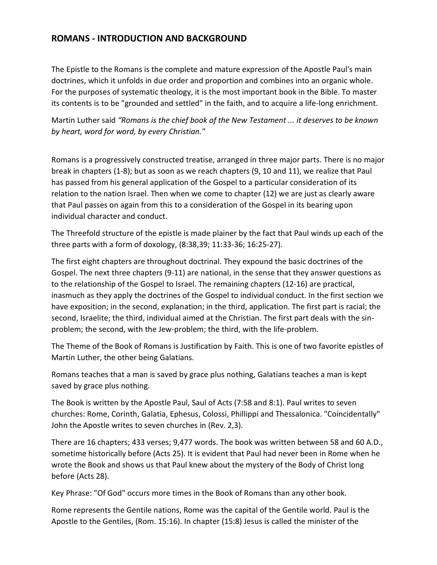#### **ROMANS - INTRODUCTION AND BACKGROUND**

The Epistle to the Romans is the complete and mature expression of the Apostle Paul's main doctrines, which it unfolds in due order and proportion and combines into an organic whole. For the purposes of systematic theology, it is the most important book in the Bible. To master its contents is to be "grounded and settled" in the faith, and to acquire a life-long enrichment.

Martin Luther said *"Romans is the chief book of the New Testament ... it deserves to be known by heart, word for word, by every Christian."*

Romans is a progressively constructed treatise, arranged in three major parts. There is no major break in chapters (1-8); but as soon as we reach chapters (9, 10 and 11), we realize that Paul has passed from his general application of the Gospel to a particular consideration of its relation to the nation Israel. Then when we come to chapter (12) we are just as clearly aware that Paul passes on again from this to a consideration of the Gospel in its bearing upon individual character and conduct.

The Threefold structure of the epistle is made plainer by the fact that Paul winds up each of the three parts with a form of doxology, (8:38,39; 11:33-36; 16:25-27).

The first eight chapters are throughout doctrinal. They expound the basic doctrines of the Gospel. The next three chapters (9-11) are national, in the sense that they answer questions as to the relationship of the Gospel to Israel. The remaining chapters (12-16) are practical, inasmuch as they apply the doctrines of the Gospel to individual conduct. In the first section we have exposition; in the second, explanation; in the third, application. The first part is racial; the second, Israelite; the third, individual aimed at the Christian. The first part deals with the sinproblem; the second, with the Jew-problem; the third, with the life-problem.

The Theme of the Book of Romans is Justification by Faith. This is one of two favorite epistles of Martin Luther, the other being Galatians.

Romans teaches that a man is saved by grace plus nothing, Galatians teaches a man is kept saved by grace plus nothing.

The Book is written by the Apostle Paul, Saul of Acts (7:58 and 8:1). Paul writes to seven churches: Rome, Corinth, Galatia, Ephesus, Colossi, Phillippi and Thessalonica. "Coincidentally" John the Apostle writes to seven churches in (Rev. 2,3).

There are 16 chapters; 433 verses; 9,477 words. The book was written between 58 and 60 A.D., sometime historically before (Acts 25). It is evident that Paul had never been in Rome when he wrote the Book and shows us that Paul knew about the mystery of the Body of Christ long before (Acts 28).

Key Phrase: "Of God" occurs more times in the Book of Romans than any other book.

Rome represents the Gentile nations, Rome was the capital of the Gentile world. Paul is the Apostle to the Gentiles, (Rom. 15:16). In chapter (15:8) Jesus is called the minister of the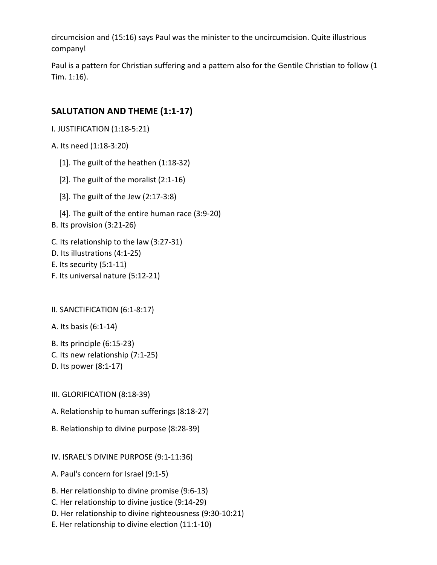circumcision and (15:16) says Paul was the minister to the uncircumcision. Quite illustrious company!

Paul is a pattern for Christian suffering and a pattern also for the Gentile Christian to follow (1 Tim. 1:16).

## **SALUTATION AND THEME (1:1-17)**

I. JUSTIFICATION (1:18-5:21)

A. Its need (1:18-3:20)

- [1]. The guilt of the heathen (1:18-32)
- [2]. The guilt of the moralist (2:1-16)
- [3]. The guilt of the Jew (2:17-3:8)
- [4]. The guilt of the entire human race (3:9-20)
- B. Its provision (3:21-26)
- C. Its relationship to the law (3:27-31)
- D. Its illustrations (4:1-25)
- E. Its security (5:1-11)
- F. Its universal nature (5:12-21)

II. SANCTIFICATION (6:1-8:17)

A. Its basis (6:1-14)

- B. Its principle (6:15-23)
- C. Its new relationship (7:1-25)
- D. Its power (8:1-17)
- III. GLORIFICATION (8:18-39)
- A. Relationship to human sufferings (8:18-27)
- B. Relationship to divine purpose (8:28-39)

IV. ISRAEL'S DIVINE PURPOSE (9:1-11:36)

- A. Paul's concern for Israel (9:1-5)
- B. Her relationship to divine promise (9:6-13)
- C. Her relationship to divine justice (9:14-29)
- D. Her relationship to divine righteousness (9:30-10:21)
- E. Her relationship to divine election (11:1-10)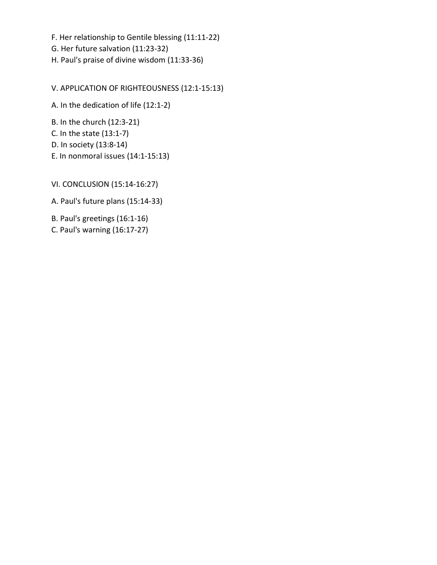F. Her relationship to Gentile blessing (11:11-22)

- G. Her future salvation (11:23-32)
- H. Paul's praise of divine wisdom (11:33-36)

V. APPLICATION OF RIGHTEOUSNESS (12:1-15:13)

A. In the dedication of life (12:1-2)

B. In the church (12:3-21)

- C. In the state (13:1-7)
- D. In society (13:8-14)
- E. In nonmoral issues (14:1-15:13)

VI. CONCLUSION (15:14-16:27)

A. Paul's future plans (15:14-33)

B. Paul's greetings (16:1-16)

C. Paul's warning (16:17-27)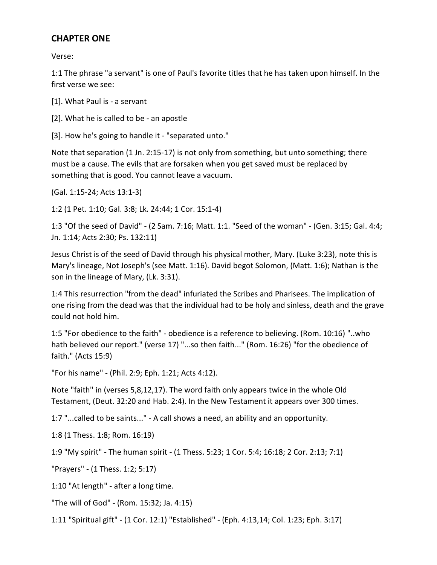#### **CHAPTER ONE**

Verse:

1:1 The phrase "a servant" is one of Paul's favorite titles that he has taken upon himself. In the first verse we see:

[1]. What Paul is - a servant

[2]. What he is called to be - an apostle

[3]. How he's going to handle it - "separated unto."

Note that separation (1 Jn. 2:15-17) is not only from something, but unto something; there must be a cause. The evils that are forsaken when you get saved must be replaced by something that is good. You cannot leave a vacuum.

(Gal. 1:15-24; Acts 13:1-3)

1:2 (1 Pet. 1:10; Gal. 3:8; Lk. 24:44; 1 Cor. 15:1-4)

1:3 "Of the seed of David" - (2 Sam. 7:16; Matt. 1:1. "Seed of the woman" - (Gen. 3:15; Gal. 4:4; Jn. 1:14; Acts 2:30; Ps. 132:11)

Jesus Christ is of the seed of David through his physical mother, Mary. (Luke 3:23), note this is Mary's lineage, Not Joseph's (see Matt. 1:16). David begot Solomon, (Matt. 1:6); Nathan is the son in the lineage of Mary, (Lk. 3:31).

1:4 This resurrection "from the dead" infuriated the Scribes and Pharisees. The implication of one rising from the dead was that the individual had to be holy and sinless, death and the grave could not hold him.

1:5 "For obedience to the faith" - obedience is a reference to believing. (Rom. 10:16) "..who hath believed our report." (verse 17) "...so then faith..." (Rom. 16:26) "for the obedience of faith." (Acts 15:9)

"For his name" - (Phil. 2:9; Eph. 1:21; Acts 4:12).

Note "faith" in (verses 5,8,12,17). The word faith only appears twice in the whole Old Testament, (Deut. 32:20 and Hab. 2:4). In the New Testament it appears over 300 times.

1:7 "...called to be saints..." - A call shows a need, an ability and an opportunity.

1:8 (1 Thess. 1:8; Rom. 16:19)

1:9 "My spirit" - The human spirit - (1 Thess. 5:23; 1 Cor. 5:4; 16:18; 2 Cor. 2:13; 7:1)

"Prayers" - (1 Thess. 1:2; 5:17)

1:10 "At length" - after a long time.

"The will of God" - (Rom. 15:32; Ja. 4:15)

1:11 "Spiritual gift" - (1 Cor. 12:1) "Established" - (Eph. 4:13,14; Col. 1:23; Eph. 3:17)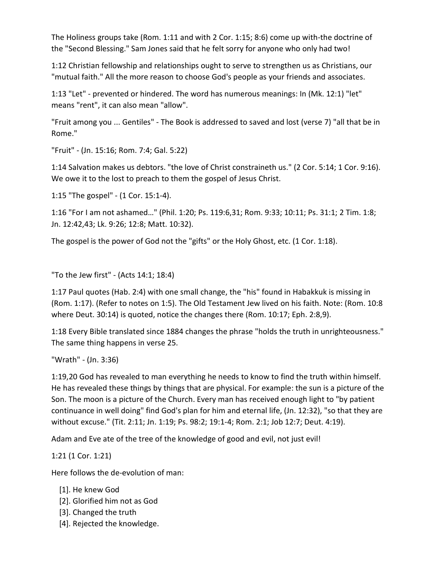The Holiness groups take (Rom. 1:11 and with 2 Cor. 1:15; 8:6) come up with-the doctrine of the "Second Blessing." Sam Jones said that he felt sorry for anyone who only had two!

1:12 Christian fellowship and relationships ought to serve to strengthen us as Christians, our "mutual faith." All the more reason to choose God's people as your friends and associates.

1:13 "Let" - prevented or hindered. The word has numerous meanings: In (Mk. 12:1) "let" means "rent", it can also mean "allow".

"Fruit among you ... Gentiles" - The Book is addressed to saved and lost (verse 7) "all that be in Rome."

"Fruit" - (Jn. 15:16; Rom. 7:4; Gal. 5:22)

1:14 Salvation makes us debtors. "the love of Christ constraineth us." (2 Cor. 5:14; 1 Cor. 9:16). We owe it to the lost to preach to them the gospel of Jesus Christ.

1:15 "The gospel" - (1 Cor. 15:1-4).

1:16 "For I am not ashamed…" (Phil. 1:20; Ps. 119:6,31; Rom. 9:33; 10:11; Ps. 31:1; 2 Tim. 1:8; Jn. 12:42,43; Lk. 9:26; 12:8; Matt. 10:32).

The gospel is the power of God not the "gifts" or the Holy Ghost, etc. (1 Cor. 1:18).

"To the Jew first" - (Acts 14:1; 18:4)

1:17 Paul quotes (Hab. 2:4) with one small change, the "his" found in Habakkuk is missing in (Rom. 1:17). (Refer to notes on 1:5). The Old Testament Jew lived on his faith. Note: (Rom. 10:8 where Deut. 30:14) is quoted, notice the changes there (Rom. 10:17; Eph. 2:8,9).

1:18 Every Bible translated since 1884 changes the phrase "holds the truth in unrighteousness." The same thing happens in verse 25.

"Wrath" - (Jn. 3:36)

1:19,20 God has revealed to man everything he needs to know to find the truth within himself. He has revealed these things by things that are physical. For example: the sun is a picture of the Son. The moon is a picture of the Church. Every man has received enough light to "by patient continuance in well doing" find God's plan for him and eternal life, (Jn. 12:32), "so that they are without excuse." (Tit. 2:11; Jn. 1:19; Ps. 98:2; 19:1-4; Rom. 2:1; Job 12:7; Deut. 4:19).

Adam and Eve ate of the tree of the knowledge of good and evil, not just evil!

1:21 (1 Cor. 1:21)

Here follows the de-evolution of man:

- [1]. He knew God
- [2]. Glorified him not as God
- [3]. Changed the truth
- [4]. Rejected the knowledge.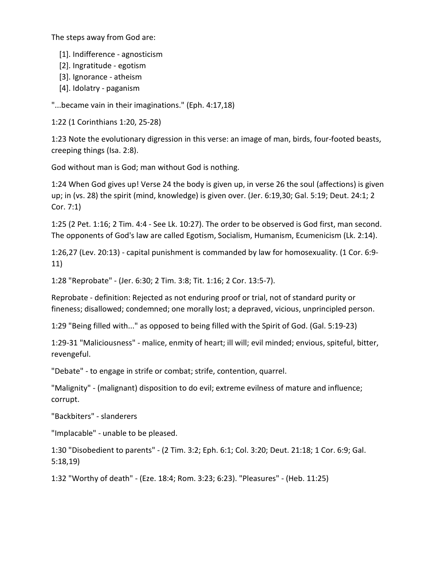The steps away from God are:

- [1]. Indifference agnosticism
- [2]. Ingratitude egotism
- [3]. Ignorance atheism
- [4]. Idolatry paganism

"...became vain in their imaginations." (Eph. 4:17,18)

1:22 (1 Corinthians 1:20, 25-28)

1:23 Note the evolutionary digression in this verse: an image of man, birds, four-footed beasts, creeping things (Isa. 2:8).

God without man is God; man without God is nothing.

1:24 When God gives up! Verse 24 the body is given up, in verse 26 the soul (affections) is given up; in (vs. 28) the spirit (mind, knowledge) is given over. (Jer. 6:19,30; Gal. 5:19; Deut. 24:1; 2 Cor. 7:1)

1:25 (2 Pet. 1:16; 2 Tim. 4:4 - See Lk. 10:27). The order to be observed is God first, man second. The opponents of God's law are called Egotism, Socialism, Humanism, Ecumenicism (Lk. 2:14).

1:26,27 (Lev. 20:13) - capital punishment is commanded by law for homosexuality. (1 Cor. 6:9- 11)

1:28 "Reprobate" - (Jer. 6:30; 2 Tim. 3:8; Tit. 1:16; 2 Cor. 13:5-7).

Reprobate - definition: Rejected as not enduring proof or trial, not of standard purity or fineness; disallowed; condemned; one morally lost; a depraved, vicious, unprincipled person.

1:29 "Being filled with..." as opposed to being filled with the Spirit of God. (Gal. 5:19-23)

1:29-31 "Maliciousness" - malice, enmity of heart; ill will; evil minded; envious, spiteful, bitter, revengeful.

"Debate" - to engage in strife or combat; strife, contention, quarrel.

"Malignity" - (malignant) disposition to do evil; extreme evilness of mature and influence; corrupt.

"Backbiters" - slanderers

"Implacable" - unable to be pleased.

1:30 "Disobedient to parents" - (2 Tim. 3:2; Eph. 6:1; Col. 3:20; Deut. 21:18; 1 Cor. 6:9; Gal. 5:18,19)

1:32 "Worthy of death" - (Eze. 18:4; Rom. 3:23; 6:23). "Pleasures" - (Heb. 11:25)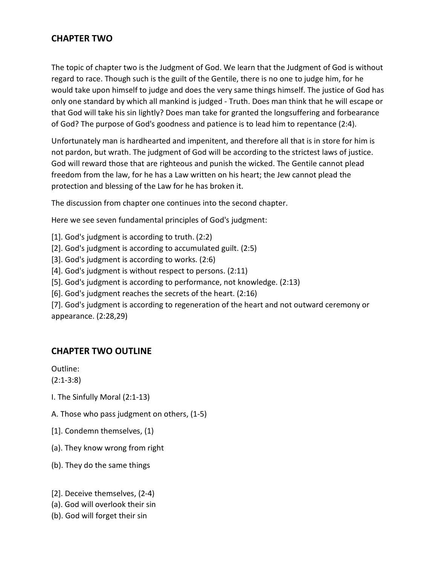## **CHAPTER TWO**

The topic of chapter two is the Judgment of God. We learn that the Judgment of God is without regard to race. Though such is the guilt of the Gentile, there is no one to judge him, for he would take upon himself to judge and does the very same things himself. The justice of God has only one standard by which all mankind is judged - Truth. Does man think that he will escape or that God will take his sin lightly? Does man take for granted the longsuffering and forbearance of God? The purpose of God's goodness and patience is to lead him to repentance (2:4).

Unfortunately man is hardhearted and impenitent, and therefore all that is in store for him is not pardon, but wrath. The judgment of God will be according to the strictest laws of justice. God will reward those that are righteous and punish the wicked. The Gentile cannot plead freedom from the law, for he has a Law written on his heart; the Jew cannot plead the protection and blessing of the Law for he has broken it.

The discussion from chapter one continues into the second chapter.

Here we see seven fundamental principles of God's judgment:

- [1]. God's judgment is according to truth. (2:2)
- [2]. God's judgment is according to accumulated guilt. (2:5)
- [3]. God's judgment is according to works. (2:6)
- [4]. God's judgment is without respect to persons. (2:11)
- [5]. God's judgment is according to performance, not knowledge. (2:13)
- [6]. God's judgment reaches the secrets of the heart. (2:16)

[7]. God's judgment is according to regeneration of the heart and not outward ceremony or appearance. (2:28,29)

#### **CHAPTER TWO OUTLINE**

Outline:

(2:1-3:8)

- I. The Sinfully Moral (2:1-13)
- A. Those who pass judgment on others, (1-5)
- [1]. Condemn themselves, (1)
- (a). They know wrong from right
- (b). They do the same things
- [2]. Deceive themselves, (2-4)
- (a). God will overlook their sin
- (b). God will forget their sin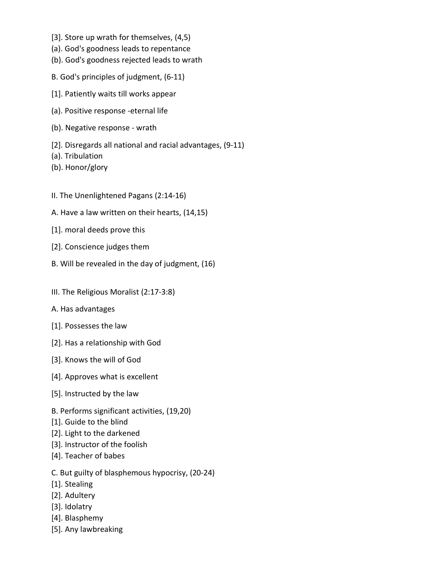- [3]. Store up wrath for themselves, (4,5)
- (a). God's goodness leads to repentance
- (b). God's goodness rejected leads to wrath
- B. God's principles of judgment, (6-11)
- [1]. Patiently waits till works appear
- (a). Positive response -eternal life
- (b). Negative response wrath
- [2]. Disregards all national and racial advantages, (9-11)
- (a). Tribulation
- (b). Honor/glory
- II. The Unenlightened Pagans (2:14-16)
- A. Have a law written on their hearts, (14,15)
- [1]. moral deeds prove this
- [2]. Conscience judges them
- B. Will be revealed in the day of judgment, (16)
- III. The Religious Moralist (2:17-3:8)
- A. Has advantages
- [1]. Possesses the law
- [2]. Has a relationship with God
- [3]. Knows the will of God
- [4]. Approves what is excellent
- [5]. Instructed by the law
- B. Performs significant activities, (19,20)
- [1]. Guide to the blind
- [2]. Light to the darkened
- [3]. Instructor of the foolish
- [4]. Teacher of babes
- C. But guilty of blasphemous hypocrisy, (20-24)
- [1]. Stealing
- [2]. Adultery
- [3]. Idolatry
- [4]. Blasphemy
- [5]. Any lawbreaking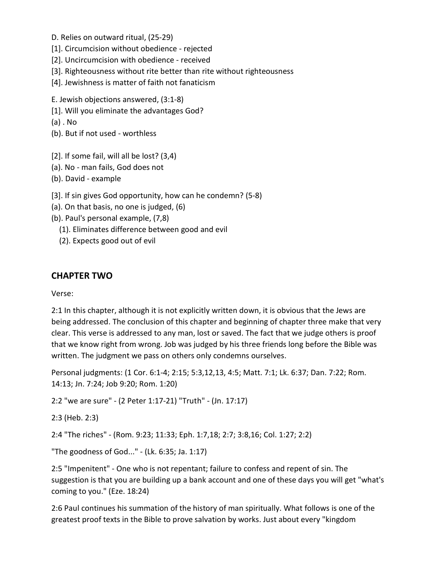- D. Relies on outward ritual, (25-29)
- [1]. Circumcision without obedience rejected
- [2]. Uncircumcision with obedience received
- [3]. Righteousness without rite better than rite without righteousness
- [4]. Jewishness is matter of faith not fanaticism
- E. Jewish objections answered, (3:1-8)
- [1]. Will you eliminate the advantages God?
- (a) . No
- (b). But if not used worthless
- [2]. If some fail, will all be lost? (3,4)
- (a). No man fails, God does not
- (b). David example
- [3]. If sin gives God opportunity, how can he condemn? (5-8)
- (a). On that basis, no one is judged, (6)
- (b). Paul's personal example, (7,8)
	- (1). Eliminates difference between good and evil
	- (2). Expects good out of evil

#### **CHAPTER TWO**

#### Verse:

2:1 In this chapter, although it is not explicitly written down, it is obvious that the Jews are being addressed. The conclusion of this chapter and beginning of chapter three make that very clear. This verse is addressed to any man, lost or saved. The fact that we judge others is proof that we know right from wrong. Job was judged by his three friends long before the Bible was written. The judgment we pass on others only condemns ourselves.

Personal judgments: (1 Cor. 6:1-4; 2:15; 5:3,12,13, 4:5; Matt. 7:1; Lk. 6:37; Dan. 7:22; Rom. 14:13; Jn. 7:24; Job 9:20; Rom. 1:20)

2:2 "we are sure" - (2 Peter 1:17-21) "Truth" - (Jn. 17:17)

```
2:3 (Heb. 2:3)
```
2:4 "The riches" - (Rom. 9:23; 11:33; Eph. 1:7,18; 2:7; 3:8,16; Col. 1:27; 2:2)

"The goodness of God..." - (Lk. 6:35; Ja. 1:17)

2:5 "Impenitent" - One who is not repentant; failure to confess and repent of sin. The suggestion is that you are building up a bank account and one of these days you will get "what's coming to you." (Eze. 18:24)

2:6 Paul continues his summation of the history of man spiritually. What follows is one of the greatest proof texts in the Bible to prove salvation by works. Just about every "kingdom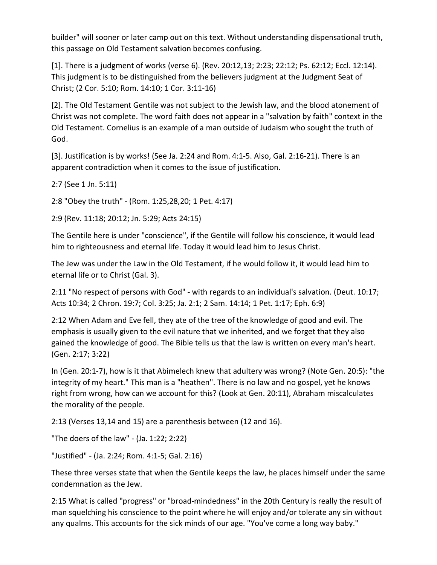builder" will sooner or later camp out on this text. Without understanding dispensational truth, this passage on Old Testament salvation becomes confusing.

[1]. There is a judgment of works (verse 6). (Rev. 20:12,13; 2:23; 22:12; Ps. 62:12; Eccl. 12:14). This judgment is to be distinguished from the believers judgment at the Judgment Seat of Christ; (2 Cor. 5:10; Rom. 14:10; 1 Cor. 3:11-16)

[2]. The Old Testament Gentile was not subject to the Jewish law, and the blood atonement of Christ was not complete. The word faith does not appear in a "salvation by faith" context in the Old Testament. Cornelius is an example of a man outside of Judaism who sought the truth of God.

[3]. Justification is by works! (See Ja. 2:24 and Rom. 4:1-5. Also, Gal. 2:16-21). There is an apparent contradiction when it comes to the issue of justification.

2:7 (See 1 Jn. 5:11)

2:8 "Obey the truth" - (Rom. 1:25,28,20; 1 Pet. 4:17)

2:9 (Rev. 11:18; 20:12; Jn. 5:29; Acts 24:15)

The Gentile here is under "conscience", if the Gentile will follow his conscience, it would lead him to righteousness and eternal life. Today it would lead him to Jesus Christ.

The Jew was under the Law in the Old Testament, if he would follow it, it would lead him to eternal life or to Christ (Gal. 3).

2:11 "No respect of persons with God" - with regards to an individual's salvation. (Deut. 10:17; Acts 10:34; 2 Chron. 19:7; Col. 3:25; Ja. 2:1; 2 Sam. 14:14; 1 Pet. 1:17; Eph. 6:9)

2:12 When Adam and Eve fell, they ate of the tree of the knowledge of good and evil. The emphasis is usually given to the evil nature that we inherited, and we forget that they also gained the knowledge of good. The Bible tells us that the law is written on every man's heart. (Gen. 2:17; 3:22)

In (Gen. 20:1-7), how is it that Abimelech knew that adultery was wrong? (Note Gen. 20:5): "the integrity of my heart." This man is a "heathen". There is no law and no gospel, yet he knows right from wrong, how can we account for this? (Look at Gen. 20:11), Abraham miscalculates the morality of the people.

2:13 (Verses 13,14 and 15) are a parenthesis between (12 and 16).

"The doers of the law" - (Ja. 1:22; 2:22)

"Justified" - (Ja. 2:24; Rom. 4:1-5; Gal. 2:16)

These three verses state that when the Gentile keeps the law, he places himself under the same condemnation as the Jew.

2:15 What is called "progress" or "broad-mindedness" in the 20th Century is really the result of man squelching his conscience to the point where he will enjoy and/or tolerate any sin without any qualms. This accounts for the sick minds of our age. "You've come a long way baby."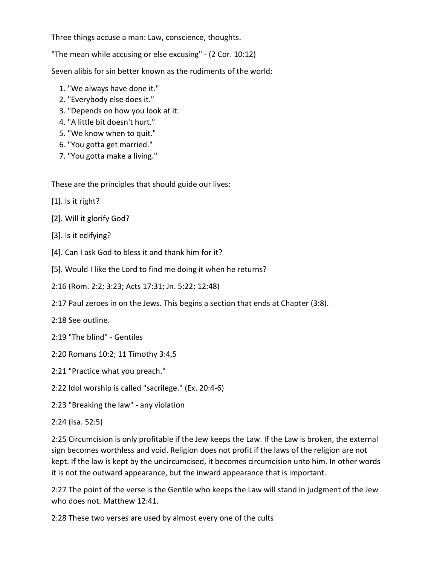Three things accuse a man: Law, conscience, thoughts.

"The mean while accusing or else excusing" - (2 Cor. 10:12)

Seven alibis for sin better known as the rudiments of the world:

- 1. "We always have done it."
- 2. "Everybody else does it."
- 3. "Depends on how you look at it.
- 4. "A little bit doesn't hurt."
- 5. "We know when to quit."
- 6. "You gotta get married."
- 7. "You gotta make a living."

These are the principles that should guide our lives:

- [1]. Is it right?
- [2]. Will it glorify God?
- [3]. Is it edifying?
- [4]. Can I ask God to bless it and thank him for it?
- [5]. Would I like the Lord to find me doing it when he returns?
- 2:16 (Rom. 2:2; 3:23; Acts 17:31; Jn. 5:22; 12:48)
- 2:17 Paul zeroes in on the Jews. This begins a section that ends at Chapter (3:8).
- 2:18 See outline.
- 2:19 "The blind" Gentiles
- 2:20 Romans 10:2; 11 Timothy 3:4,5
- 2:21 "Practice what you preach."
- 2:22 Idol worship is called "sacrilege." (Ex. 20:4-6)
- 2:23 "Breaking the law" any violation
- 2:24 (Isa. 52:5)

2:25 Circumcision is only profitable if the Jew keeps the Law. If the Law is broken, the external sign becomes worthless and void. Religion does not profit if the laws of the religion are not kept. If the law is kept by the uncircumcised, it becomes circumcision unto him. In other words it is not the outward appearance, but the inward appearance that is important.

2:27 The point of the verse is the Gentile who keeps the Law will stand in judgment of the Jew who does not. Matthew 12:41.

2:28 These two verses are used by almost every one of the cults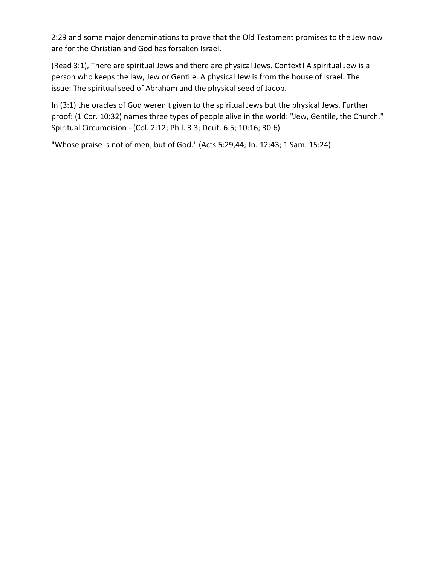2:29 and some major denominations to prove that the Old Testament promises to the Jew now are for the Christian and God has forsaken Israel.

(Read 3:1), There are spiritual Jews and there are physical Jews. Context! A spiritual Jew is a person who keeps the law, Jew or Gentile. A physical Jew is from the house of Israel. The issue: The spiritual seed of Abraham and the physical seed of Jacob.

In (3:1) the oracles of God weren't given to the spiritual Jews but the physical Jews. Further proof: (1 Cor. 10:32) names three types of people alive in the world: "Jew, Gentile, the Church." Spiritual Circumcision - (Col. 2:12; Phil. 3:3; Deut. 6:5; 10:16; 30:6)

"Whose praise is not of men, but of God." (Acts 5:29,44; Jn. 12:43; 1 Sam. 15:24)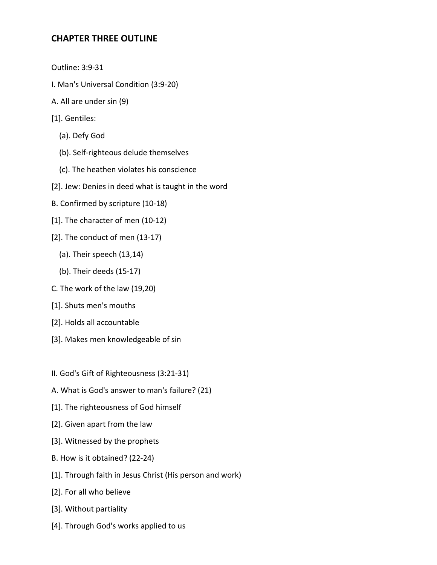#### **CHAPTER THREE OUTLINE**

- Outline: 3:9-31
- I. Man's Universal Condition (3:9-20)
- A. All are under sin (9)
- [1]. Gentiles:
	- (a). Defy God
	- (b). Self-righteous delude themselves
	- (c). The heathen violates his conscience
- [2]. Jew: Denies in deed what is taught in the word
- B. Confirmed by scripture (10-18)
- [1]. The character of men (10-12)
- [2]. The conduct of men (13-17)
	- (a). Their speech (13,14)
	- (b). Their deeds (15-17)
- C. The work of the law (19,20)
- [1]. Shuts men's mouths
- [2]. Holds all accountable
- [3]. Makes men knowledgeable of sin
- II. God's Gift of Righteousness (3:21-31)
- A. What is God's answer to man's failure? (21)
- [1]. The righteousness of God himself
- [2]. Given apart from the law
- [3]. Witnessed by the prophets
- B. How is it obtained? (22-24)
- [1]. Through faith in Jesus Christ (His person and work)
- [2]. For all who believe
- [3]. Without partiality
- [4]. Through God's works applied to us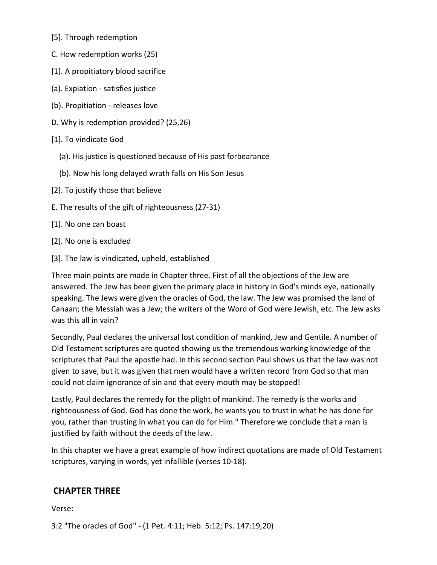- [5]. Through redemption
- C. How redemption works (25)
- [1]. A propitiatory blood sacrifice
- (a). Expiation satisfies justice
- (b). Propitiation releases love
- D. Why is redemption provided? (25,26)
- [1]. To vindicate God
	- (a). His justice is questioned because of His past forbearance
	- (b). Now his long delayed wrath falls on His Son Jesus
- [2]. To justify those that believe
- E. The results of the gift of righteousness (27-31)
- [1]. No one can boast
- [2]. No one is excluded
- [3]. The law is vindicated, upheld, established

Three main points are made in Chapter three. First of all the objections of the Jew are answered. The Jew has been given the primary place in history in God's minds eye, nationally speaking. The Jews were given the oracles of God, the law. The Jew was promised the land of Canaan; the Messiah was a Jew; the writers of the Word of God were Jewish, etc. The Jew asks was this all in vain?

Secondly, Paul declares the universal lost condition of mankind, Jew and Gentile. A number of Old Testament scriptures are quoted showing us the tremendous working knowledge of the scriptures that Paul the apostle had. In this second section Paul shows us that the law was not given to save, but it was given that men would have a written record from God so that man could not claim ignorance of sin and that every mouth may be stopped!

Lastly, Paul declares the remedy for the plight of mankind. The remedy is the works and righteousness of God. God has done the work, he wants you to trust in what he has done for you, rather than trusting in what you can do for Him." Therefore we conclude that a man is justified by faith without the deeds of the law.

In this chapter we have a great example of how indirect quotations are made of Old Testament scriptures, varying in words, yet infallible (verses 10-18).

# **CHAPTER THREE**

Verse:

3:2 "The oracles of God" - (1 Pet. 4:11; Heb. 5:12; Ps. 147:19,20)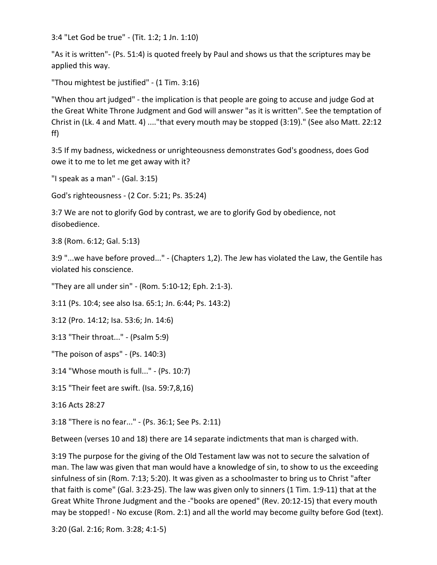3:4 "Let God be true" - (Tit. 1:2; 1 Jn. 1:10)

"As it is written"- (Ps. 51:4) is quoted freely by Paul and shows us that the scriptures may be applied this way.

"Thou mightest be justified" - (1 Tim. 3:16)

"When thou art judged" - the implication is that people are going to accuse and judge God at the Great White Throne Judgment and God will answer "as it is written". See the temptation of Christ in (Lk. 4 and Matt. 4) ...."that every mouth may be stopped (3:19)." (See also Matt. 22:12 ff)

3:5 If my badness, wickedness or unrighteousness demonstrates God's goodness, does God owe it to me to let me get away with it?

"I speak as a man" - (Gal. 3:15)

God's righteousness - (2 Cor. 5:21; Ps. 35:24)

3:7 We are not to glorify God by contrast, we are to glorify God by obedience, not disobedience.

3:8 (Rom. 6:12; Gal. 5:13)

3:9 "...we have before proved..." - (Chapters 1,2). The Jew has violated the Law, the Gentile has violated his conscience.

"They are all under sin" - (Rom. 5:10-12; Eph. 2:1-3).

3:11 (Ps. 10:4; see also Isa. 65:1; Jn. 6:44; Ps. 143:2)

3:12 (Pro. 14:12; Isa. 53:6; Jn. 14:6)

3:13 "Their throat..." - (Psalm 5:9)

"The poison of asps" - (Ps. 140:3)

3:14 "Whose mouth is full..." - (Ps. 10:7)

3:15 "Their feet are swift. (Isa. 59:7,8,16)

3:16 Acts 28:27

3:18 "There is no fear..." - (Ps. 36:1; See Ps. 2:11)

Between (verses 10 and 18) there are 14 separate indictments that man is charged with.

3:19 The purpose for the giving of the Old Testament law was not to secure the salvation of man. The law was given that man would have a knowledge of sin, to show to us the exceeding sinfulness of sin (Rom. 7:13; 5:20). It was given as a schoolmaster to bring us to Christ "after that faith is come" (Gal. 3:23-25). The law was given only to sinners (1 Tim. 1:9-11) that at the Great White Throne Judgment and the -"books are opened" (Rev. 20:12-15) that every mouth may be stopped! - No excuse (Rom. 2:1) and all the world may become guilty before God (text).

3:20 (Gal. 2:16; Rom. 3:28; 4:1-5)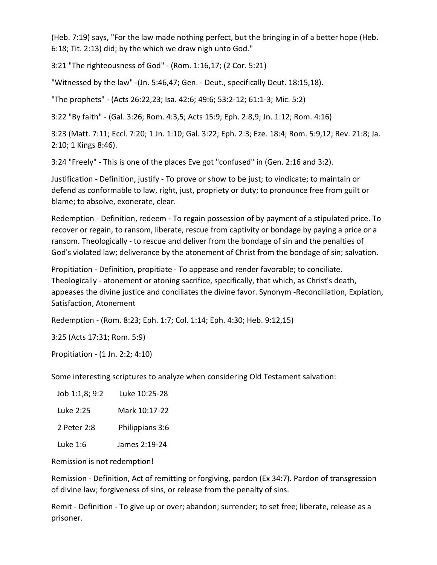(Heb. 7:19) says, "For the law made nothing perfect, but the bringing in of a better hope (Heb. 6:18; Tit. 2:13) did; by the which we draw nigh unto God."

3:21 "The righteousness of God" - (Rom. 1:16,17; (2 Cor. 5:21)

"Witnessed by the law" -(Jn. 5:46,47; Gen. - Deut., specifically Deut. 18:15,18).

"The prophets" - (Acts 26:22,23; Isa. 42:6; 49:6; 53:2-12; 61:1-3; Mic. 5:2)

3:22 "By faith" - (Gal. 3:26; Rom. 4:3,5; Acts 15:9; Eph. 2:8,9; Jn. 1:12; Rom. 4:16)

3:23 (Matt. 7:11; Eccl. 7:20; 1 Jn. 1:10; Gal. 3:22; Eph. 2:3; Eze. 18:4; Rom. 5:9,12; Rev. 21:8; Ja. 2:10; 1 Kings 8:46).

3:24 "Freely" - This is one of the places Eve got "confused" in (Gen. 2:16 and 3:2).

Justification - Definition, justify - To prove or show to be just; to vindicate; to maintain or defend as conformable to law, right, just, propriety or duty; to pronounce free from guilt or blame; to absolve, exonerate, clear.

Redemption - Definition, redeem - To regain possession of by payment of a stipulated price. To recover or regain, to ransom, liberate, rescue from captivity or bondage by paying a price or a ransom. Theologically - to rescue and deliver from the bondage of sin and the penalties of God's violated law; deliverance by the atonement of Christ from the bondage of sin; salvation.

Propitiation - Definition, propitiate - To appease and render favorable; to conciliate. Theologically - atonement or atoning sacrifice, specifically, that which, as Christ's death, appeases the divine justice and conciliates the divine favor. Synonym -Reconciliation, Expiation, Satisfaction, Atonement

Redemption - (Rom. 8:23; Eph. 1:7; Col. 1:14; Eph. 4:30; Heb. 9:12,15)

3:25 (Acts 17:31; Rom. 5:9)

Propitiation - (1 Jn. 2:2; 4:10)

Some interesting scriptures to analyze when considering Old Testament salvation:

| Job 1:1,8; 9:2 | Luke 10:25-28   |
|----------------|-----------------|
| Luke 2:25      | Mark 10:17-22   |
| 2 Peter 2:8    | Philippians 3:6 |
| Luke 1:6       | James 2:19-24   |

Remission is not redemption!

Remission - Definition, Act of remitting or forgiving, pardon (Ex 34:7). Pardon of transgression of divine law; forgiveness of sins, or release from the penalty of sins.

Remit - Definition - To give up or over; abandon; surrender; to set free; liberate, release as a prisoner.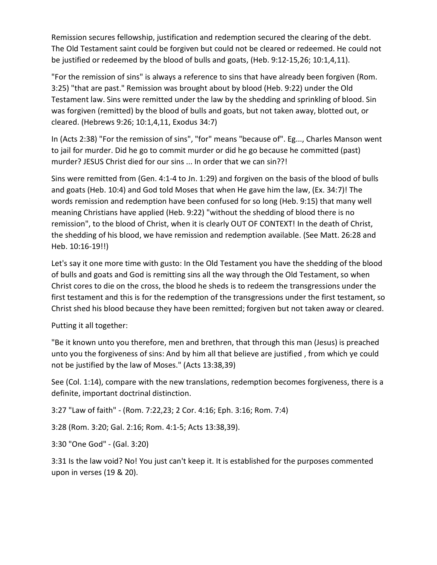Remission secures fellowship, justification and redemption secured the clearing of the debt. The Old Testament saint could be forgiven but could not be cleared or redeemed. He could not be justified or redeemed by the blood of bulls and goats, (Heb. 9:12-15,26; 10:1,4,11).

"For the remission of sins" is always a reference to sins that have already been forgiven (Rom. 3:25) "that are past." Remission was brought about by blood (Heb. 9:22) under the Old Testament law. Sins were remitted under the law by the shedding and sprinkling of blood. Sin was forgiven (remitted) by the blood of bulls and goats, but not taken away, blotted out, or cleared. (Hebrews 9:26; 10:1,4,11, Exodus 34:7)

In (Acts 2:38) "For the remission of sins", "for" means "because of". Eg..., Charles Manson went to jail for murder. Did he go to commit murder or did he go because he committed (past) murder? JESUS Christ died for our sins ... In order that we can sin??!

Sins were remitted from (Gen. 4:1-4 to Jn. 1:29) and forgiven on the basis of the blood of bulls and goats (Heb. 10:4) and God told Moses that when He gave him the law, (Ex. 34:7)! The words remission and redemption have been confused for so long (Heb. 9:15) that many well meaning Christians have applied (Heb. 9:22) "without the shedding of blood there is no remission", to the blood of Christ, when it is clearly OUT OF CONTEXT! In the death of Christ, the shedding of his blood, we have remission and redemption available. (See Matt. 26:28 and Heb. 10:16-19!!)

Let's say it one more time with gusto: In the Old Testament you have the shedding of the blood of bulls and goats and God is remitting sins all the way through the Old Testament, so when Christ cores to die on the cross, the blood he sheds is to redeem the transgressions under the first testament and this is for the redemption of the transgressions under the first testament, so Christ shed his blood because they have been remitted; forgiven but not taken away or cleared.

Putting it all together:

"Be it known unto you therefore, men and brethren, that through this man (Jesus) is preached unto you the forgiveness of sins: And by him all that believe are justified , from which ye could not be justified by the law of Moses." (Acts 13:38,39)

See (Col. 1:14), compare with the new translations, redemption becomes forgiveness, there is a definite, important doctrinal distinction.

3:27 "Law of faith" - (Rom. 7:22,23; 2 Cor. 4:16; Eph. 3:16; Rom. 7:4)

3:28 (Rom. 3:20; Gal. 2:16; Rom. 4:1-5; Acts 13:38,39).

3:30 "One God" - (Gal. 3:20)

3:31 Is the law void? No! You just can't keep it. It is established for the purposes commented upon in verses (19 & 20).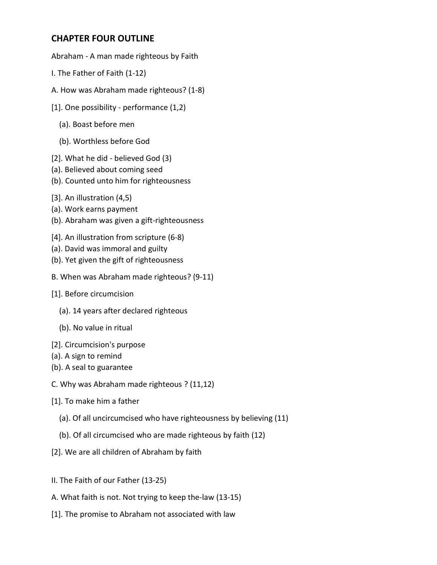#### **CHAPTER FOUR OUTLINE**

Abraham - A man made righteous by Faith

- I. The Father of Faith (1-12)
- A. How was Abraham made righteous? (1-8)
- [1]. One possibility performance (1,2)
	- (a). Boast before men
	- (b). Worthless before God
- [2]. What he did believed God (3)
- (a). Believed about coming seed
- (b). Counted unto him for righteousness
- [3]. An illustration (4,5)
- (a). Work earns payment
- (b). Abraham was given a gift-righteousness
- [4]. An illustration from scripture (6-8)
- (a). David was immoral and guilty
- (b). Yet given the gift of righteousness
- B. When was Abraham made righteous? (9-11)
- [1]. Before circumcision
	- (a). 14 years after declared righteous
	- (b). No value in ritual
- [2]. Circumcision's purpose
- (a). A sign to remind
- (b). A seal to guarantee
- C. Why was Abraham made righteous ? (11,12)
- [1]. To make him a father
	- (a). Of all uncircumcised who have righteousness by believing (11)
	- (b). Of all circumcised who are made righteous by faith (12)
- [2]. We are all children of Abraham by faith
- II. The Faith of our Father (13-25)
- A. What faith is not. Not trying to keep the-law (13-15)
- [1]. The promise to Abraham not associated with law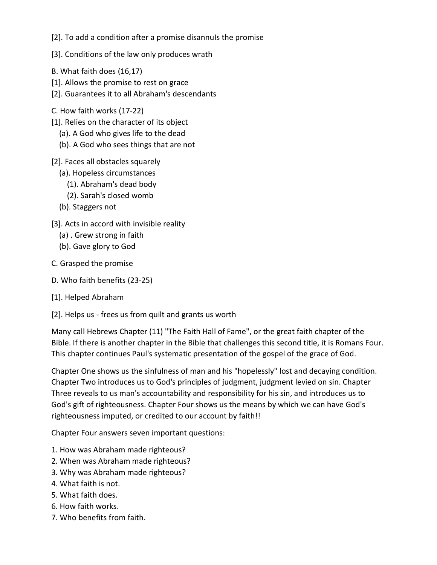[2]. To add a condition after a promise disannuls the promise

- [3]. Conditions of the law only produces wrath
- B. What faith does (16,17)
- [1]. Allows the promise to rest on grace
- [2]. Guarantees it to all Abraham's descendants
- C. How faith works (17-22)
- [1]. Relies on the character of its object
	- (a). A God who gives life to the dead
	- (b). A God who sees things that are not
- [2]. Faces all obstacles squarely
	- (a). Hopeless circumstances
		- (1). Abraham's dead body
		- (2). Sarah's closed womb
	- (b). Staggers not
- [3]. Acts in accord with invisible reality
	- (a) . Grew strong in faith
	- (b). Gave glory to God
- C. Grasped the promise
- D. Who faith benefits (23-25)
- [1]. Helped Abraham
- [2]. Helps us frees us from quilt and grants us worth

Many call Hebrews Chapter (11) "The Faith Hall of Fame", or the great faith chapter of the Bible. If there is another chapter in the Bible that challenges this second title, it is Romans Four. This chapter continues Paul's systematic presentation of the gospel of the grace of God.

Chapter One shows us the sinfulness of man and his "hopelessly" lost and decaying condition. Chapter Two introduces us to God's principles of judgment, judgment levied on sin. Chapter Three reveals to us man's accountability and responsibility for his sin, and introduces us to God's gift of righteousness. Chapter Four shows us the means by which we can have God's righteousness imputed, or credited to our account by faith!!

Chapter Four answers seven important questions:

- 1. How was Abraham made righteous?
- 2. When was Abraham made righteous?
- 3. Why was Abraham made righteous?
- 4. What faith is not.
- 5. What faith does.
- 6. How faith works.
- 7. Who benefits from faith.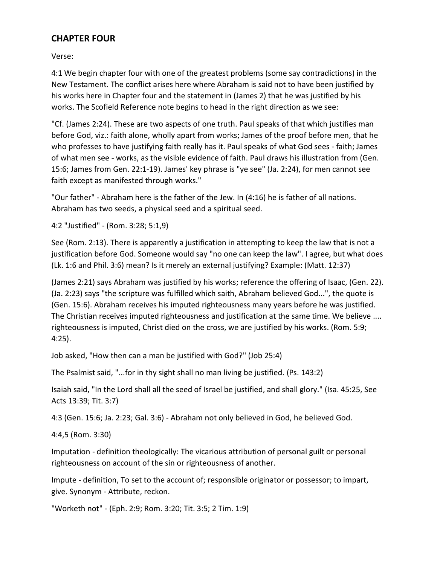#### **CHAPTER FOUR**

Verse:

4:1 We begin chapter four with one of the greatest problems (some say contradictions) in the New Testament. The conflict arises here where Abraham is said not to have been justified by his works here in Chapter four and the statement in (James 2) that he was justified by his works. The Scofield Reference note begins to head in the right direction as we see:

"Cf. (James 2:24). These are two aspects of one truth. Paul speaks of that which justifies man before God, viz.: faith alone, wholly apart from works; James of the proof before men, that he who professes to have justifying faith really has it. Paul speaks of what God sees - faith; James of what men see - works, as the visible evidence of faith. Paul draws his illustration from (Gen. 15:6; James from Gen. 22:1-19). James' key phrase is "ye see" (Ja. 2:24), for men cannot see faith except as manifested through works."

"Our father" - Abraham here is the father of the Jew. In (4:16) he is father of all nations. Abraham has two seeds, a physical seed and a spiritual seed.

4:2 "Justified" - (Rom. 3:28; 5:1,9)

See (Rom. 2:13). There is apparently a justification in attempting to keep the law that is not a justification before God. Someone would say "no one can keep the law". I agree, but what does (Lk. 1:6 and Phil. 3:6) mean? Is it merely an external justifying? Example: (Matt. 12:37)

(James 2:21) says Abraham was justified by his works; reference the offering of Isaac, (Gen. 22). (Ja. 2:23) says "the scripture was fulfilled which saith, Abraham believed God...", the quote is (Gen. 15:6). Abraham receives his imputed righteousness many years before he was justified. The Christian receives imputed righteousness and justification at the same time. We believe .... righteousness is imputed, Christ died on the cross, we are justified by his works. (Rom. 5:9; 4:25).

Job asked, "How then can a man be justified with God?" (Job 25:4)

The Psalmist said, "...for in thy sight shall no man living be justified. (Ps. 143:2)

Isaiah said, "In the Lord shall all the seed of Israel be justified, and shall glory." (Isa. 45:25, See Acts 13:39; Tit. 3:7)

4:3 (Gen. 15:6; Ja. 2:23; Gal. 3:6) - Abraham not only believed in God, he believed God.

4:4,5 (Rom. 3:30)

Imputation - definition theologically: The vicarious attribution of personal guilt or personal righteousness on account of the sin or righteousness of another.

Impute - definition, To set to the account of; responsible originator or possessor; to impart, give. Synonym - Attribute, reckon.

"Worketh not" - (Eph. 2:9; Rom. 3:20; Tit. 3:5; 2 Tim. 1:9)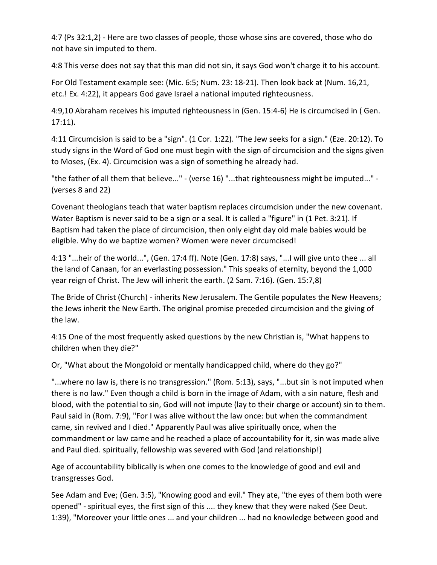4:7 (Ps 32:1,2) - Here are two classes of people, those whose sins are covered, those who do not have sin imputed to them.

4:8 This verse does not say that this man did not sin, it says God won't charge it to his account.

For Old Testament example see: (Mic. 6:5; Num. 23: 18-21). Then look back at (Num. 16,21, etc.! Ex. 4:22), it appears God gave Israel a national imputed righteousness.

4:9,10 Abraham receives his imputed righteousness in (Gen. 15:4-6) He is circumcised in ( Gen. 17:11).

4:11 Circumcision is said to be a "sign". (1 Cor. 1:22). "The Jew seeks for a sign." (Eze. 20:12). To study signs in the Word of God one must begin with the sign of circumcision and the signs given to Moses, (Ex. 4). Circumcision was a sign of something he already had.

"the father of all them that believe..." - (verse 16) "...that righteousness might be imputed..." - (verses 8 and 22)

Covenant theologians teach that water baptism replaces circumcision under the new covenant. Water Baptism is never said to be a sign or a seal. It is called a "figure" in (1 Pet. 3:21). If Baptism had taken the place of circumcision, then only eight day old male babies would be eligible. Why do we baptize women? Women were never circumcised!

4:13 "...heir of the world...", (Gen. 17:4 ff). Note (Gen. 17:8) says, "...I will give unto thee ... all the land of Canaan, for an everlasting possession." This speaks of eternity, beyond the 1,000 year reign of Christ. The Jew will inherit the earth. (2 Sam. 7:16). (Gen. 15:7,8)

The Bride of Christ (Church) - inherits New Jerusalem. The Gentile populates the New Heavens; the Jews inherit the New Earth. The original promise preceded circumcision and the giving of the law.

4:15 One of the most frequently asked questions by the new Christian is, "What happens to children when they die?"

Or, "What about the Mongoloid or mentally handicapped child, where do they go?"

"...where no law is, there is no transgression." (Rom. 5:13), says, "...but sin is not imputed when there is no law." Even though a child is born in the image of Adam, with a sin nature, flesh and blood, with the potential to sin, God will not impute (lay to their charge or account) sin to them. Paul said in (Rom. 7:9), "For I was alive without the law once: but when the commandment came, sin revived and I died." Apparently Paul was alive spiritually once, when the commandment or law came and he reached a place of accountability for it, sin was made alive and Paul died. spiritually, fellowship was severed with God (and relationship!)

Age of accountability biblically is when one comes to the knowledge of good and evil and transgresses God.

See Adam and Eve; (Gen. 3:5), "Knowing good and evil." They ate, "the eyes of them both were opened" - spiritual eyes, the first sign of this .... they knew that they were naked (See Deut. 1:39), "Moreover your little ones ... and your children ... had no knowledge between good and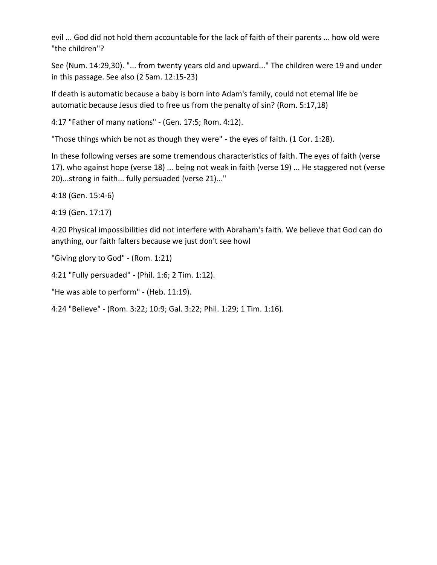evil ... God did not hold them accountable for the lack of faith of their parents ... how old were "the children"?

See (Num. 14:29,30). "... from twenty years old and upward..." The children were 19 and under in this passage. See also (2 Sam. 12:15-23)

If death is automatic because a baby is born into Adam's family, could not eternal life be automatic because Jesus died to free us from the penalty of sin? (Rom. 5:17,18)

4:17 "Father of many nations" - (Gen. 17:5; Rom. 4:12).

"Those things which be not as though they were" - the eyes of faith. (1 Cor. 1:28).

In these following verses are some tremendous characteristics of faith. The eyes of faith (verse 17). who against hope (verse 18) ... being not weak in faith (verse 19) ... He staggered not (verse 20)...strong in faith... fully persuaded (verse 21)..."

4:18 (Gen. 15:4-6)

4:19 (Gen. 17:17)

4:20 Physical impossibilities did not interfere with Abraham's faith. We believe that God can do anything, our faith falters because we just don't see howl

"Giving glory to God" - (Rom. 1:21)

4:21 "Fully persuaded" - (Phil. 1:6; 2 Tim. 1:12).

"He was able to perform" - (Heb. 11:19).

4:24 "Believe" - (Rom. 3:22; 10:9; Gal. 3:22; Phil. 1:29; 1 Tim. 1:16).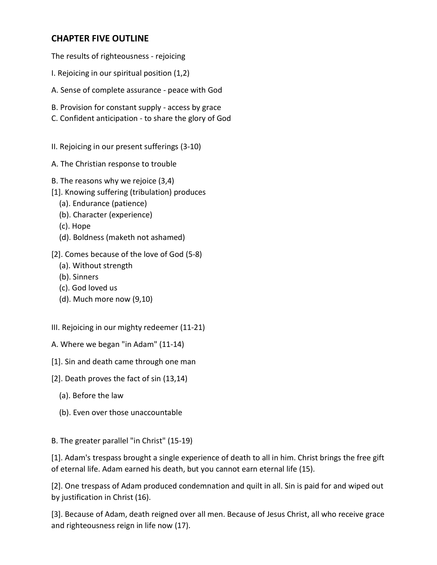#### **CHAPTER FIVE OUTLINE**

The results of righteousness - rejoicing

- I. Rejoicing in our spiritual position (1,2)
- A. Sense of complete assurance peace with God
- B. Provision for constant supply access by grace
- C. Confident anticipation to share the glory of God
- II. Rejoicing in our present sufferings (3-10)
- A. The Christian response to trouble
- B. The reasons why we rejoice (3,4)
- [1]. Knowing suffering (tribulation) produces
	- (a). Endurance (patience)
	- (b). Character (experience)
	- (c). Hope
	- (d). Boldness (maketh not ashamed)
- [2]. Comes because of the love of God (5-8)
	- (a). Without strength
	- (b). Sinners
	- (c). God loved us
	- (d). Much more now (9,10)
- III. Rejoicing in our mighty redeemer (11-21)
- A. Where we began "in Adam" (11-14)
- [1]. Sin and death came through one man
- [2]. Death proves the fact of sin (13,14)
	- (a). Before the law
	- (b). Even over those unaccountable

B. The greater parallel "in Christ" (15-19)

[1]. Adam's trespass brought a single experience of death to all in him. Christ brings the free gift of eternal life. Adam earned his death, but you cannot earn eternal life (15).

[2]. One trespass of Adam produced condemnation and quilt in all. Sin is paid for and wiped out by justification in Christ (16).

[3]. Because of Adam, death reigned over all men. Because of Jesus Christ, all who receive grace and righteousness reign in life now (17).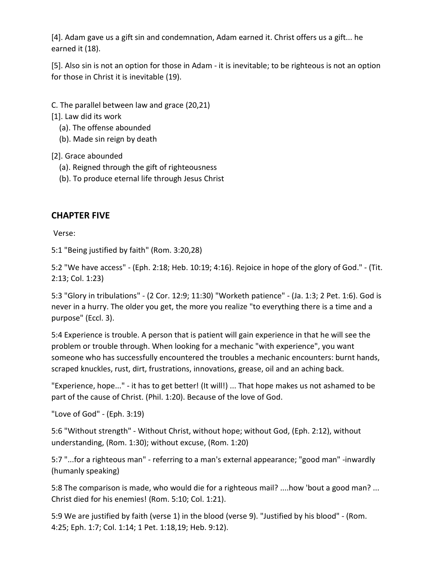[4]. Adam gave us a gift sin and condemnation, Adam earned it. Christ offers us a gift... he earned it (18).

[5]. Also sin is not an option for those in Adam - it is inevitable; to be righteous is not an option for those in Christ it is inevitable (19).

C. The parallel between law and grace (20,21)

[1]. Law did its work

- (a). The offense abounded
- (b). Made sin reign by death

[2]. Grace abounded

- (a). Reigned through the gift of righteousness
- (b). To produce eternal life through Jesus Christ

## **CHAPTER FIVE**

Verse:

5:1 "Being justified by faith" (Rom. 3:20,28)

5:2 "We have access" - (Eph. 2:18; Heb. 10:19; 4:16). Rejoice in hope of the glory of God." - (Tit. 2:13; Col. 1:23)

5:3 "Glory in tribulations" - (2 Cor. 12:9; 11:30) "Worketh patience" - (Ja. 1:3; 2 Pet. 1:6). God is never in a hurry. The older you get, the more you realize "to everything there is a time and a purpose" (Eccl. 3).

5:4 Experience is trouble. A person that is patient will gain experience in that he will see the problem or trouble through. When looking for a mechanic "with experience", you want someone who has successfully encountered the troubles a mechanic encounters: burnt hands, scraped knuckles, rust, dirt, frustrations, innovations, grease, oil and an aching back.

"Experience, hope..." - it has to get better! (It will!) ... That hope makes us not ashamed to be part of the cause of Christ. (Phil. 1:20). Because of the love of God.

"Love of God" - (Eph. 3:19)

5:6 "Without strength" - Without Christ, without hope; without God, (Eph. 2:12), without understanding, (Rom. 1:30); without excuse, (Rom. 1:20)

5:7 "...for a righteous man" - referring to a man's external appearance; "good man" -inwardly (humanly speaking)

5:8 The comparison is made, who would die for a righteous mail? ....how 'bout a good man? ... Christ died for his enemies! (Rom. 5:10; Col. 1:21).

5:9 We are justified by faith (verse 1) in the blood (verse 9). "Justified by his blood" - (Rom. 4:25; Eph. 1:7; Col. 1:14; 1 Pet. 1:18,19; Heb. 9:12).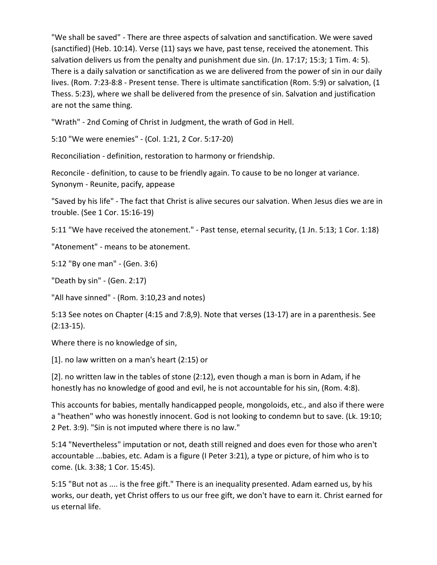"We shall be saved" - There are three aspects of salvation and sanctification. We were saved (sanctified) (Heb. 10:14). Verse (11) says we have, past tense, received the atonement. This salvation delivers us from the penalty and punishment due sin. (Jn. 17:17; 15:3; 1 Tim. 4: 5). There is a daily salvation or sanctification as we are delivered from the power of sin in our daily lives. (Rom. 7:23-8:8 - Present tense. There is ultimate sanctification (Rom. 5:9) or salvation, (1 Thess. 5:23), where we shall be delivered from the presence of sin. Salvation and justification are not the same thing.

"Wrath" - 2nd Coming of Christ in Judgment, the wrath of God in Hell.

5:10 "We were enemies" - (Col. 1:21, 2 Cor. 5:17-20)

Reconciliation - definition, restoration to harmony or friendship.

Reconcile - definition, to cause to be friendly again. To cause to be no longer at variance. Synonym - Reunite, pacify, appease

"Saved by his life" - The fact that Christ is alive secures our salvation. When Jesus dies we are in trouble. (See 1 Cor. 15:16-19)

5:11 "We have received the atonement." - Past tense, eternal security, (1 Jn. 5:13; 1 Cor. 1:18)

"Atonement" - means to be atonement.

5:12 "By one man" - (Gen. 3:6)

"Death by sin" - (Gen. 2:17)

"All have sinned" - (Rom. 3:10,23 and notes)

5:13 See notes on Chapter (4:15 and 7:8,9). Note that verses (13-17) are in a parenthesis. See (2:13-15).

Where there is no knowledge of sin,

[1]. no law written on a man's heart (2:15) or

[2]. no written law in the tables of stone (2:12), even though a man is born in Adam, if he honestly has no knowledge of good and evil, he is not accountable for his sin, (Rom. 4:8).

This accounts for babies, mentally handicapped people, mongoloids, etc., and also if there were a "heathen" who was honestly innocent. God is not looking to condemn but to save. (Lk. 19:10; 2 Pet. 3:9). "Sin is not imputed where there is no law."

5:14 "Nevertheless" imputation or not, death still reigned and does even for those who aren't accountable ...babies, etc. Adam is a figure (I Peter 3:21), a type or picture, of him who is to come. (Lk. 3:38; 1 Cor. 15:45).

5:15 "But not as .... is the free gift." There is an inequality presented. Adam earned us, by his works, our death, yet Christ offers to us our free gift, we don't have to earn it. Christ earned for us eternal life.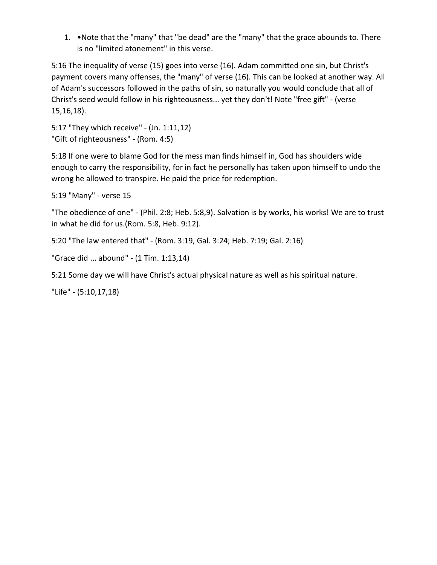1. •Note that the "many" that "be dead" are the "many" that the grace abounds to. There is no "limited atonement" in this verse.

5:16 The inequality of verse (15) goes into verse (16). Adam committed one sin, but Christ's payment covers many offenses, the "many" of verse (16). This can be looked at another way. All of Adam's successors followed in the paths of sin, so naturally you would conclude that all of Christ's seed would follow in his righteousness... yet they don't! Note "free gift" - (verse 15,16,18).

5:17 "They which receive" - (Jn. 1:11,12) "Gift of righteousness" - (Rom. 4:5)

5:18 If one were to blame God for the mess man finds himself in, God has shoulders wide enough to carry the responsibility, for in fact he personally has taken upon himself to undo the wrong he allowed to transpire. He paid the price for redemption.

5:19 "Many" - verse 15

"The obedience of one" - (Phil. 2:8; Heb. 5:8,9). Salvation is by works, his works! We are to trust in what he did for us.(Rom. 5:8, Heb. 9:12).

5:20 "The law entered that" - (Rom. 3:19, Gal. 3:24; Heb. 7:19; Gal. 2:16)

"Grace did ... abound" - (1 Tim. 1:13,14)

5:21 Some day we will have Christ's actual physical nature as well as his spiritual nature.

"Life" - (5:10,17,18)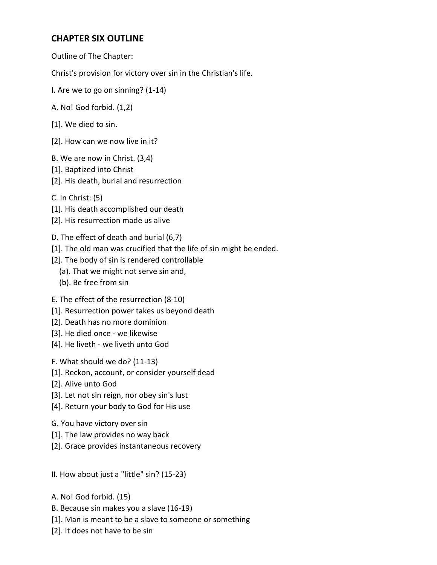## **CHAPTER SIX OUTLINE**

Outline of The Chapter:

Christ's provision for victory over sin in the Christian's life.

- I. Are we to go on sinning? (1-14)
- A. No! God forbid. (1,2)
- [1]. We died to sin.
- [2]. How can we now live in it?
- B. We are now in Christ. (3,4)
- [1]. Baptized into Christ
- [2]. His death, burial and resurrection
- C. In Christ: (5)
- [1]. His death accomplished our death
- [2]. His resurrection made us alive
- D. The effect of death and burial (6,7)
- [1]. The old man was crucified that the life of sin might be ended.
- [2]. The body of sin is rendered controllable
	- (a). That we might not serve sin and,
	- (b). Be free from sin
- E. The effect of the resurrection (8-10)
- [1]. Resurrection power takes us beyond death
- [2]. Death has no more dominion
- [3]. He died once we likewise
- [4]. He liveth we liveth unto God
- F. What should we do? (11-13)
- [1]. Reckon, account, or consider yourself dead
- [2]. Alive unto God
- [3]. Let not sin reign, nor obey sin's lust
- [4]. Return your body to God for His use
- G. You have victory over sin
- [1]. The law provides no way back
- [2]. Grace provides instantaneous recovery

II. How about just a "little" sin? (15-23)

- A. No! God forbid. (15)
- B. Because sin makes you a slave (16-19)
- [1]. Man is meant to be a slave to someone or something
- [2]. It does not have to be sin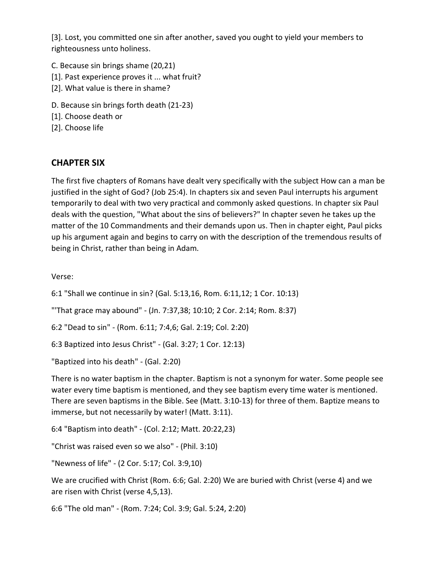[3]. Lost, you committed one sin after another, saved you ought to yield your members to righteousness unto holiness.

- C. Because sin brings shame (20,21)
- [1]. Past experience proves it ... what fruit?
- [2]. What value is there in shame?
- D. Because sin brings forth death (21-23)
- [1]. Choose death or
- [2]. Choose life

#### **CHAPTER SIX**

The first five chapters of Romans have dealt very specifically with the subject How can a man be justified in the sight of God? (Job 25:4). In chapters six and seven Paul interrupts his argument temporarily to deal with two very practical and commonly asked questions. In chapter six Paul deals with the question, "What about the sins of believers?" In chapter seven he takes up the matter of the 10 Commandments and their demands upon us. Then in chapter eight, Paul picks up his argument again and begins to carry on with the description of the tremendous results of being in Christ, rather than being in Adam.

Verse:

6:1 "Shall we continue in sin? (Gal. 5:13,16, Rom. 6:11,12; 1 Cor. 10:13)

"'That grace may abound" - (Jn. 7:37,38; 10:10; 2 Cor. 2:14; Rom. 8:37)

6:2 "Dead to sin" - (Rom. 6:11; 7:4,6; Gal. 2:19; Col. 2:20)

6:3 Baptized into Jesus Christ" - (Gal. 3:27; 1 Cor. 12:13)

"Baptized into his death" - (Gal. 2:20)

There is no water baptism in the chapter. Baptism is not a synonym for water. Some people see water every time baptism is mentioned, and they see baptism every time water is mentioned. There are seven baptisms in the Bible. See (Matt. 3:10-13) for three of them. Baptize means to immerse, but not necessarily by water! (Matt. 3:11).

6:4 "Baptism into death" - (Col. 2:12; Matt. 20:22,23)

"Christ was raised even so we also" - (Phil. 3:10)

"Newness of life" - (2 Cor. 5:17; Col. 3:9,10)

We are crucified with Christ (Rom. 6:6; Gal. 2:20) We are buried with Christ (verse 4) and we are risen with Christ (verse 4,5,13).

6:6 "The old man" - (Rom. 7:24; Col. 3:9; Gal. 5:24, 2:20)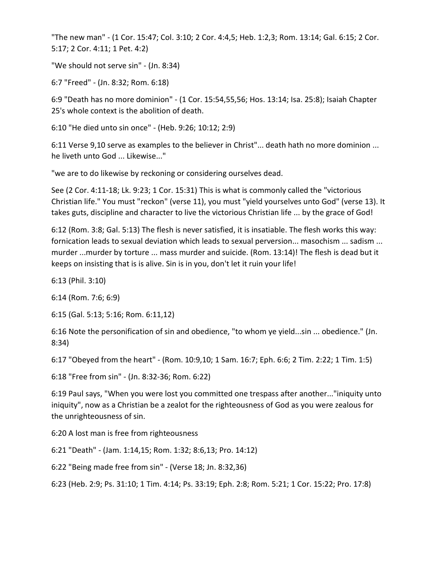"The new man" - (1 Cor. 15:47; Col. 3:10; 2 Cor. 4:4,5; Heb. 1:2,3; Rom. 13:14; Gal. 6:15; 2 Cor. 5:17; 2 Cor. 4:11; 1 Pet. 4:2)

"We should not serve sin" - (Jn. 8:34)

6:7 "Freed" - (Jn. 8:32; Rom. 6:18)

6:9 "Death has no more dominion" - (1 Cor. 15:54,55,56; Hos. 13:14; Isa. 25:8); Isaiah Chapter 25's whole context is the abolition of death.

6:10 "He died unto sin once" - (Heb. 9:26; 10:12; 2:9)

6:11 Verse 9,10 serve as examples to the believer in Christ"... death hath no more dominion ... he liveth unto God ... Likewise..."

"we are to do likewise by reckoning or considering ourselves dead.

See (2 Cor. 4:11-18; Lk. 9:23; 1 Cor. 15:31) This is what is commonly called the "victorious Christian life." You must "reckon" (verse 11), you must "yield yourselves unto God" (verse 13). It takes guts, discipline and character to live the victorious Christian life ... by the grace of God!

6:12 (Rom. 3:8; Gal. 5:13) The flesh is never satisfied, it is insatiable. The flesh works this way: fornication leads to sexual deviation which leads to sexual perversion... masochism ... sadism ... murder ...murder by torture ... mass murder and suicide. (Rom. 13:14)! The flesh is dead but it keeps on insisting that is is alive. Sin is in you, don't let it ruin your life!

6:13 (Phil. 3:10)

6:14 (Rom. 7:6; 6:9)

6:15 (Gal. 5:13; 5:16; Rom. 6:11,12)

6:16 Note the personification of sin and obedience, "to whom ye yield...sin ... obedience." (Jn. 8:34)

6:17 "Obeyed from the heart" - (Rom. 10:9,10; 1 Sam. 16:7; Eph. 6:6; 2 Tim. 2:22; 1 Tim. 1:5)

6:18 "Free from sin" - (Jn. 8:32-36; Rom. 6:22)

6:19 Paul says, "When you were lost you committed one trespass after another..."iniquity unto iniquity", now as a Christian be a zealot for the righteousness of God as you were zealous for the unrighteousness of sin.

6:20 A lost man is free from righteousness

6:21 "Death" - (Jam. 1:14,15; Rom. 1:32; 8:6,13; Pro. 14:12)

6:22 "Being made free from sin" - (Verse 18; Jn. 8:32,36)

6:23 (Heb. 2:9; Ps. 31:10; 1 Tim. 4:14; Ps. 33:19; Eph. 2:8; Rom. 5:21; 1 Cor. 15:22; Pro. 17:8)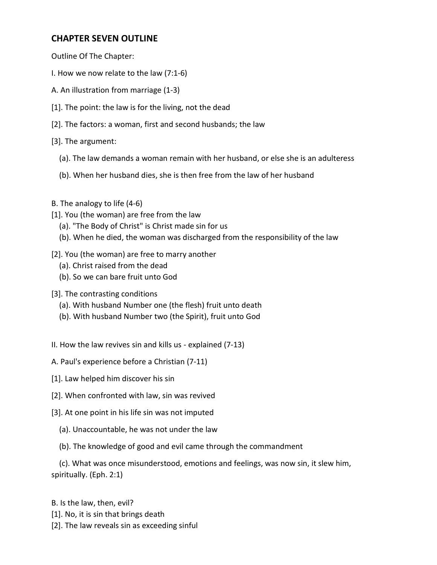#### **CHAPTER SEVEN OUTLINE**

Outline Of The Chapter:

- I. How we now relate to the law (7:1-6)
- A. An illustration from marriage (1-3)
- [1]. The point: the law is for the living, not the dead
- [2]. The factors: a woman, first and second husbands; the law
- [3]. The argument:
	- (a). The law demands a woman remain with her husband, or else she is an adulteress
	- (b). When her husband dies, she is then free from the law of her husband
- B. The analogy to life (4-6)
- [1]. You (the woman) are free from the law
	- (a). "The Body of Christ" is Christ made sin for us
	- (b). When he died, the woman was discharged from the responsibility of the law
- [2]. You (the woman) are free to marry another
	- (a). Christ raised from the dead
	- (b). So we can bare fruit unto God
- [3]. The contrasting conditions
	- (a). With husband Number one (the flesh) fruit unto death
	- (b). With husband Number two (the Spirit), fruit unto God
- II. How the law revives sin and kills us explained (7-13)
- A. Paul's experience before a Christian (7-11)
- [1]. Law helped him discover his sin
- [2]. When confronted with law, sin was revived
- [3]. At one point in his life sin was not imputed
	- (a). Unaccountable, he was not under the law
	- (b). The knowledge of good and evil came through the commandment

 (c). What was once misunderstood, emotions and feelings, was now sin, it slew him, spiritually. (Eph. 2:1)

B. Is the law, then, evil?

- [1]. No, it is sin that brings death
- [2]. The law reveals sin as exceeding sinful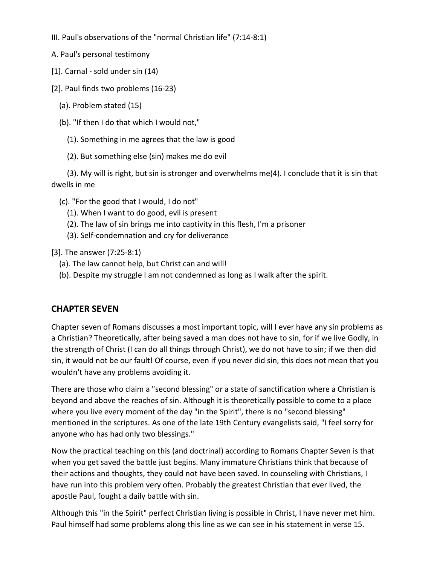- III. Paul's observations of the "normal Christian life" (7:14-8:1)
- A. Paul's personal testimony
- [1]. Carnal sold under sin (14)
- [2]. Paul finds two problems (16-23)
	- (a). Problem stated (15)
	- (b). "If then I do that which I would not,"
		- (1). Something in me agrees that the law is good
		- (2). But something else (sin) makes me do evil

 (3). My will is right, but sin is stronger and overwhelms me(4). I conclude that it is sin that dwells in me

- (c). "For the good that I would, I do not"
	- (1). When I want to do good, evil is present
	- (2). The law of sin brings me into captivity in this flesh, I'm a prisoner
	- (3). Self-condemnation and cry for deliverance

[3]. The answer (7:25-8:1)

- (a). The law cannot help, but Christ can and will!
- (b). Despite my struggle I am not condemned as long as I walk after the spirit.

## **CHAPTER SEVEN**

Chapter seven of Romans discusses a most important topic, will I ever have any sin problems as a Christian? Theoretically, after being saved a man does not have to sin, for if we live Godly, in the strength of Christ (I can do all things through Christ), we do not have to sin; if we then did sin, it would not be our fault! Of course, even if you never did sin, this does not mean that you wouldn't have any problems avoiding it.

There are those who claim a "second blessing" or a state of sanctification where a Christian is beyond and above the reaches of sin. Although it is theoretically possible to come to a place where you live every moment of the day "in the Spirit", there is no "second blessing" mentioned in the scriptures. As one of the late 19th Century evangelists said, "I feel sorry for anyone who has had only two blessings."

Now the practical teaching on this (and doctrinal) according to Romans Chapter Seven is that when you get saved the battle just begins. Many immature Christians think that because of their actions and thoughts, they could not have been saved. In counseling with Christians, I have run into this problem very often. Probably the greatest Christian that ever lived, the apostle Paul, fought a daily battle with sin.

Although this "in the Spirit" perfect Christian living is possible in Christ, I have never met him. Paul himself had some problems along this line as we can see in his statement in verse 15.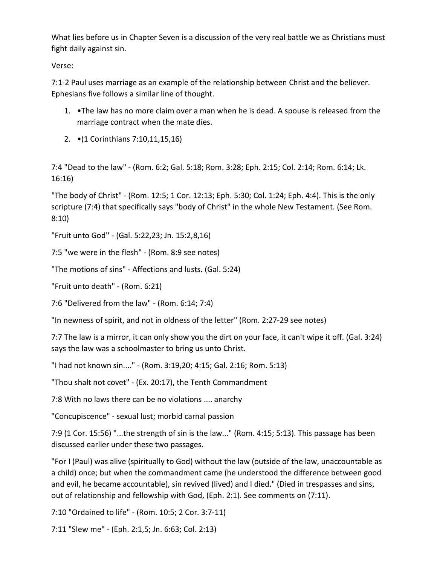What lies before us in Chapter Seven is a discussion of the very real battle we as Christians must fight daily against sin.

Verse:

7:1-2 Paul uses marriage as an example of the relationship between Christ and the believer. Ephesians five follows a similar line of thought.

- 1. •The law has no more claim over a man when he is dead. A spouse is released from the marriage contract when the mate dies.
- 2. •(1 Corinthians 7:10,11,15,16)

7:4 "Dead to the law" - (Rom. 6:2; Gal. 5:18; Rom. 3:28; Eph. 2:15; Col. 2:14; Rom. 6:14; Lk. 16:16)

"The body of Christ" - (Rom. 12:5; 1 Cor. 12:13; Eph. 5:30; Col. 1:24; Eph. 4:4). This is the only scripture (7:4) that specifically says "body of Christ" in the whole New Testament. (See Rom. 8:10)

"Fruit unto God'' - (Gal. 5:22,23; Jn. 15:2,8,16)

7:5 "we were in the flesh" - (Rom. 8:9 see notes)

"The motions of sins" - Affections and lusts. (Gal. 5:24)

"Fruit unto death" - (Rom. 6:21)

7:6 "Delivered from the law" - (Rom. 6:14; 7:4)

"In newness of spirit, and not in oldness of the letter" (Rom. 2:27-29 see notes)

7:7 The law is a mirror, it can only show you the dirt on your face, it can't wipe it off. (Gal. 3:24) says the law was a schoolmaster to bring us unto Christ.

"I had not known sin...." - (Rom. 3:19,20; 4:15; Gal. 2:16; Rom. 5:13)

"Thou shalt not covet" - (Ex. 20:17), the Tenth Commandment

7:8 With no laws there can be no violations .... anarchy

"Concupiscence" - sexual lust; morbid carnal passion

7:9 (1 Cor. 15:56) "...the strength of sin is the law..." (Rom. 4:15; 5:13). This passage has been discussed earlier under these two passages.

"For I (Paul) was alive (spiritually to God) without the law (outside of the law, unaccountable as a child) once; but when the commandment came (he understood the difference between good and evil, he became accountable), sin revived (lived) and I died." (Died in trespasses and sins, out of relationship and fellowship with God, (Eph. 2:1). See comments on (7:11).

7:10 "Ordained to life" - (Rom. 10:5; 2 Cor. 3:7-11)

7:11 "Slew me" - (Eph. 2:1,5; Jn. 6:63; Col. 2:13)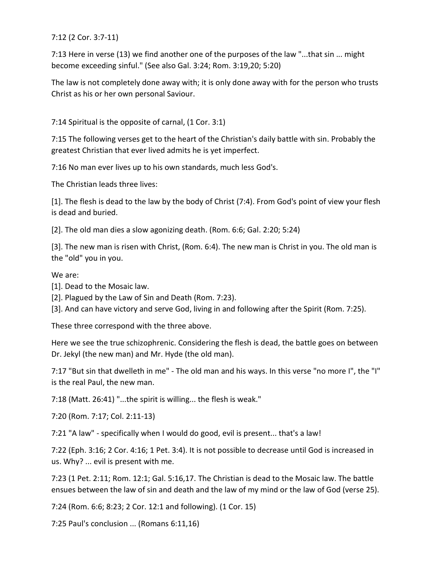7:12 (2 Cor. 3:7-11)

7:13 Here in verse (13) we find another one of the purposes of the law "...that sin ... might become exceeding sinful." (See also Gal. 3:24; Rom. 3:19,20; 5:20)

The law is not completely done away with; it is only done away with for the person who trusts Christ as his or her own personal Saviour.

7:14 Spiritual is the opposite of carnal, (1 Cor. 3:1)

7:15 The following verses get to the heart of the Christian's daily battle with sin. Probably the greatest Christian that ever lived admits he is yet imperfect.

7:16 No man ever lives up to his own standards, much less God's.

The Christian leads three lives:

[1]. The flesh is dead to the law by the body of Christ (7:4). From God's point of view your flesh is dead and buried.

[2]. The old man dies a slow agonizing death. (Rom. 6:6; Gal. 2:20; 5:24)

[3]. The new man is risen with Christ, (Rom. 6:4). The new man is Christ in you. The old man is the "old" you in you.

We are:

[1]. Dead to the Mosaic law.

[2]. Plagued by the Law of Sin and Death (Rom. 7:23).

[3]. And can have victory and serve God, living in and following after the Spirit (Rom. 7:25).

These three correspond with the three above.

Here we see the true schizophrenic. Considering the flesh is dead, the battle goes on between Dr. Jekyl (the new man) and Mr. Hyde (the old man).

7:17 "But sin that dwelleth in me" - The old man and his ways. In this verse "no more I", the "I" is the real Paul, the new man.

7:18 (Matt. 26:41) "...the spirit is willing... the flesh is weak."

7:20 (Rom. 7:17; Col. 2:11-13)

7:21 "A law" - specifically when I would do good, evil is present... that's a law!

7:22 (Eph. 3:16; 2 Cor. 4:16; 1 Pet. 3:4). It is not possible to decrease until God is increased in us. Why? ... evil is present with me.

7:23 (1 Pet. 2:11; Rom. 12:1; Gal. 5:16,17. The Christian is dead to the Mosaic law. The battle ensues between the law of sin and death and the law of my mind or the law of God (verse 25).

7:24 (Rom. 6:6; 8:23; 2 Cor. 12:1 and following). (1 Cor. 15)

7:25 Paul's conclusion ... (Romans 6:11,16)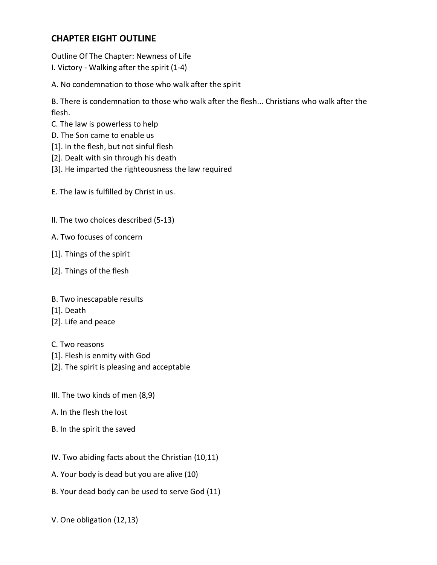### **CHAPTER EIGHT OUTLINE**

Outline Of The Chapter: Newness of Life I. Victory - Walking after the spirit (1-4)

A. No condemnation to those who walk after the spirit

B. There is condemnation to those who walk after the flesh... Christians who walk after the flesh.

- C. The law is powerless to help
- D. The Son came to enable us
- [1]. In the flesh, but not sinful flesh
- [2]. Dealt with sin through his death
- [3]. He imparted the righteousness the law required

E. The law is fulfilled by Christ in us.

- II. The two choices described (5-13)
- A. Two focuses of concern
- [1]. Things of the spirit
- [2]. Things of the flesh
- B. Two inescapable results
- [1]. Death
- [2]. Life and peace
- C. Two reasons
- [1]. Flesh is enmity with God
- [2]. The spirit is pleasing and acceptable
- III. The two kinds of men (8,9)
- A. In the flesh the lost
- B. In the spirit the saved
- IV. Two abiding facts about the Christian (10,11)
- A. Your body is dead but you are alive (10)
- B. Your dead body can be used to serve God (11)
- V. One obligation (12,13)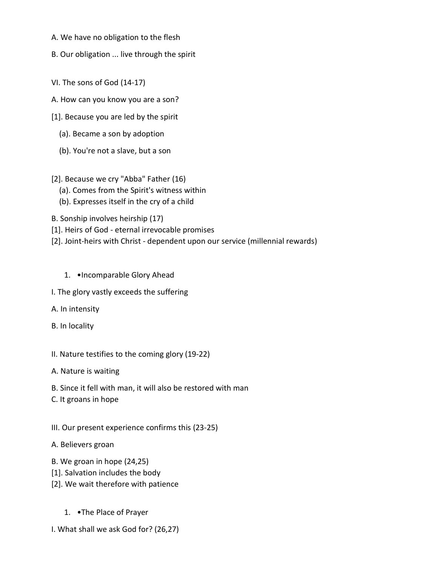- A. We have no obligation to the flesh
- B. Our obligation ... live through the spirit
- VI. The sons of God (14-17)
- A. How can you know you are a son?
- [1]. Because you are led by the spirit
	- (a). Became a son by adoption
	- (b). You're not a slave, but a son
- [2]. Because we cry "Abba" Father (16)
	- (a). Comes from the Spirit's witness within
	- (b). Expresses itself in the cry of a child
- B. Sonship involves heirship (17)
- [1]. Heirs of God eternal irrevocable promises
- [2]. Joint-heirs with Christ dependent upon our service (millennial rewards)
	- 1. •Incomparable Glory Ahead
- I. The glory vastly exceeds the suffering
- A. In intensity
- B. In locality
- II. Nature testifies to the coming glory (19-22)
- A. Nature is waiting
- B. Since it fell with man, it will also be restored with man
- C. It groans in hope
- III. Our present experience confirms this (23-25)
- A. Believers groan
- B. We groan in hope (24,25)
- [1]. Salvation includes the body
- [2]. We wait therefore with patience
	- 1. •The Place of Prayer
- I. What shall we ask God for? (26,27)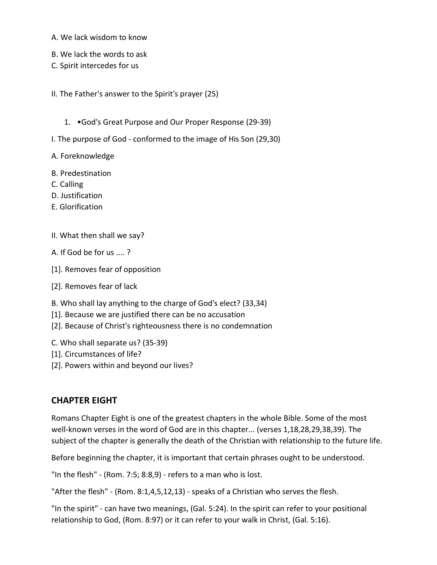A. We lack wisdom to know

B. We lack the words to ask

C. Spirit intercedes for us

II. The Father's answer to the Spirit's prayer (25)

1. •God's Great Purpose and Our Proper Response (29-39)

I. The purpose of God - conformed to the image of His Son (29,30)

A. Foreknowledge

- B. Predestination
- C. Calling
- D. Justification
- E. Glorification
- II. What then shall we say?
- A. If God be for us .... ?
- [1]. Removes fear of opposition
- [2]. Removes fear of lack
- B. Who shall lay anything to the charge of God's elect? (33,34)
- [1]. Because we are justified there can be no accusation
- [2]. Because of Christ's righteousness there is no condemnation
- C. Who shall separate us? (35-39)
- [1]. Circumstances of life?
- [2]. Powers within and beyond our lives?

#### **CHAPTER EIGHT**

Romans Chapter Eight is one of the greatest chapters in the whole Bible. Some of the most well-known verses in the word of God are in this chapter... (verses 1,18,28,29,38,39). The subject of the chapter is generally the death of the Christian with relationship to the future life.

Before beginning the chapter, it is important that certain phrases ought to be understood.

"In the flesh" - (Rom. 7:5; 8:8,9) - refers to a man who is lost.

"After the flesh" - (Rom. 8:1,4,5,12,13) - speaks of a Christian who serves the flesh.

"In the spirit" - can have two meanings, (Gal. 5:24). In the spirit can refer to your positional relationship to God, (Rom. 8:97) or it can refer to your walk in Christ, (Gal. 5:16).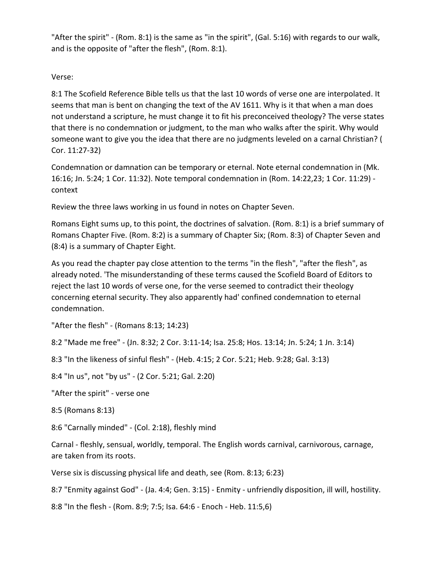"After the spirit" - (Rom. 8:1) is the same as "in the spirit", (Gal. 5:16) with regards to our walk, and is the opposite of "after the flesh", (Rom. 8:1).

### Verse:

8:1 The Scofield Reference Bible tells us that the last 10 words of verse one are interpolated. It seems that man is bent on changing the text of the AV 1611. Why is it that when a man does not understand a scripture, he must change it to fit his preconceived theology? The verse states that there is no condemnation or judgment, to the man who walks after the spirit. Why would someone want to give you the idea that there are no judgments leveled on a carnal Christian? ( Cor. 11:27-32)

Condemnation or damnation can be temporary or eternal. Note eternal condemnation in (Mk. 16:16; Jn. 5:24; 1 Cor. 11:32). Note temporal condemnation in (Rom. 14:22,23; 1 Cor. 11:29) context

Review the three laws working in us found in notes on Chapter Seven.

Romans Eight sums up, to this point, the doctrines of salvation. (Rom. 8:1) is a brief summary of Romans Chapter Five. (Rom. 8:2) is a summary of Chapter Six; (Rom. 8:3) of Chapter Seven and (8:4) is a summary of Chapter Eight.

As you read the chapter pay close attention to the terms "in the flesh", "after the flesh", as already noted. 'The misunderstanding of these terms caused the Scofield Board of Editors to reject the last 10 words of verse one, for the verse seemed to contradict their theology concerning eternal security. They also apparently had' confined condemnation to eternal condemnation.

"After the flesh" - (Romans 8:13; 14:23)

8:2 "Made me free" - (Jn. 8:32; 2 Cor. 3:11-14; Isa. 25:8; Hos. 13:14; Jn. 5:24; 1 Jn. 3:14)

8:3 "In the likeness of sinful flesh" - (Heb. 4:15; 2 Cor. 5:21; Heb. 9:28; Gal. 3:13)

8:4 "In us", not "by us" - (2 Cor. 5:21; Gal. 2:20)

"After the spirit" - verse one

8:5 (Romans 8:13)

8:6 "Carnally minded" - (Col. 2:18), fleshly mind

Carnal - fleshly, sensual, worldly, temporal. The English words carnival, carnivorous, carnage, are taken from its roots.

Verse six is discussing physical life and death, see (Rom. 8:13; 6:23)

8:7 "Enmity against God" - (Ja. 4:4; Gen. 3:15) - Enmity - unfriendly disposition, ill will, hostility.

8:8 "In the flesh - (Rom. 8:9; 7:5; Isa. 64:6 - Enoch - Heb. 11:5,6)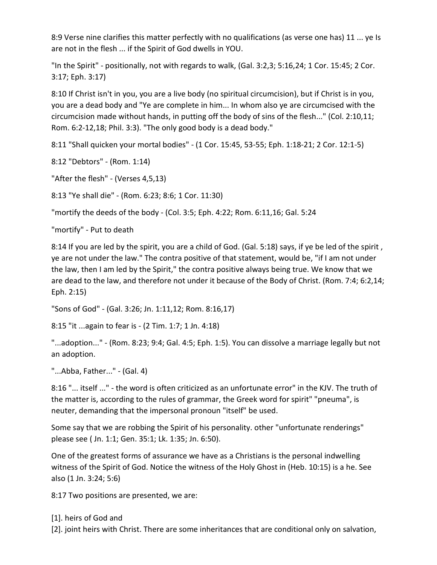8:9 Verse nine clarifies this matter perfectly with no qualifications (as verse one has) 11 ... ye Is are not in the flesh ... if the Spirit of God dwells in YOU.

"In the Spirit" - positionally, not with regards to walk, (Gal. 3:2,3; 5:16,24; 1 Cor. 15:45; 2 Cor. 3:17; Eph. 3:17)

8:10 If Christ isn't in you, you are a live body (no spiritual circumcision), but if Christ is in you, you are a dead body and "Ye are complete in him... In whom also ye are circumcised with the circumcision made without hands, in putting off the body of sins of the flesh..." (Col. 2:10,11; Rom. 6:2-12,18; Phil. 3:3). "The only good body is a dead body."

8:11 "Shall quicken your mortal bodies" - (1 Cor. 15:45, 53-55; Eph. 1:18-21; 2 Cor. 12:1-5)

8:12 "Debtors" - (Rom. 1:14)

"After the flesh" - (Verses 4,5,13)

8:13 "Ye shall die" - (Rom. 6:23; 8:6; 1 Cor. 11:30)

"mortify the deeds of the body - (Col. 3:5; Eph. 4:22; Rom. 6:11,16; Gal. 5:24

"mortify" - Put to death

8:14 If you are led by the spirit, you are a child of God. (Gal. 5:18) says, if ye be led of the spirit, ye are not under the law." The contra positive of that statement, would be, "if I am not under the law, then I am led by the Spirit," the contra positive always being true. We know that we are dead to the law, and therefore not under it because of the Body of Christ. (Rom. 7:4; 6:2,14; Eph. 2:15)

"Sons of God" - (Gal. 3:26; Jn. 1:11,12; Rom. 8:16,17)

8:15 "it ...again to fear is - (2 Tim. 1:7; 1 Jn. 4:18)

"...adoption..." - (Rom. 8:23; 9:4; Gal. 4:5; Eph. 1:5). You can dissolve a marriage legally but not an adoption.

"...Abba, Father..." - (Gal. 4)

8:16 "... itself ..." - the word is often criticized as an unfortunate error" in the KJV. The truth of the matter is, according to the rules of grammar, the Greek word for spirit" "pneuma", is neuter, demanding that the impersonal pronoun "itself" be used.

Some say that we are robbing the Spirit of his personality. other "unfortunate renderings" please see ( Jn. 1:1; Gen. 35:1; Lk. 1:35; Jn. 6:50).

One of the greatest forms of assurance we have as a Christians is the personal indwelling witness of the Spirit of God. Notice the witness of the Holy Ghost in (Heb. 10:15) is a he. See also (1 Jn. 3:24; 5:6)

8:17 Two positions are presented, we are:

[1]. heirs of God and

[2]. joint heirs with Christ. There are some inheritances that are conditional only on salvation,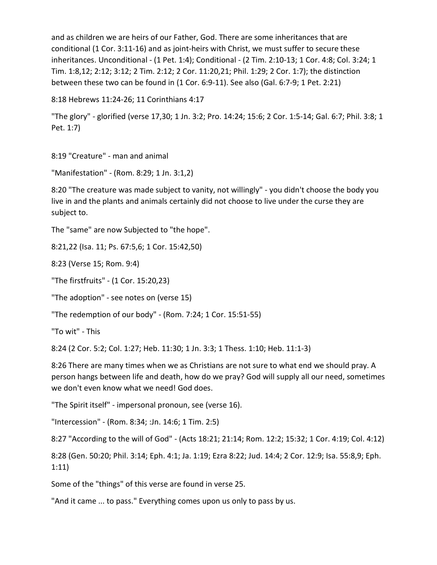and as children we are heirs of our Father, God. There are some inheritances that are conditional (1 Cor. 3:11-16) and as joint-heirs with Christ, we must suffer to secure these inheritances. Unconditional - (1 Pet. 1:4); Conditional - (2 Tim. 2:10-13; 1 Cor. 4:8; Col. 3:24; 1 Tim. 1:8,12; 2:12; 3:12; 2 Tim. 2:12; 2 Cor. 11:20,21; Phil. 1:29; 2 Cor. 1:7); the distinction between these two can be found in (1 Cor. 6:9-11). See also (Gal. 6:7-9; 1 Pet. 2:21)

```
8:18 Hebrews 11:24-26; 11 Corinthians 4:17
```
"The glory" - glorified (verse 17,30; 1 Jn. 3:2; Pro. 14:24; 15:6; 2 Cor. 1:5-14; Gal. 6:7; Phil. 3:8; 1 Pet. 1:7)

8:19 "Creature" - man and animal

"Manifestation" - (Rom. 8:29; 1 Jn. 3:1,2)

8:20 "The creature was made subject to vanity, not willingly" - you didn't choose the body you live in and the plants and animals certainly did not choose to live under the curse they are subject to.

The "same" are now Subjected to "the hope".

8:21,22 (Isa. 11; Ps. 67:5,6; 1 Cor. 15:42,50)

8:23 (Verse 15; Rom. 9:4)

"The firstfruits" - (1 Cor. 15:20,23)

"The adoption" - see notes on (verse 15)

"The redemption of our body" - (Rom. 7:24; 1 Cor. 15:51-55)

"To wit" - This

8:24 (2 Cor. 5:2; Col. 1:27; Heb. 11:30; 1 Jn. 3:3; 1 Thess. 1:10; Heb. 11:1-3)

8:26 There are many times when we as Christians are not sure to what end we should pray. A person hangs between life and death, how do we pray? God will supply all our need, sometimes we don't even know what we need! God does.

"The Spirit itself" - impersonal pronoun, see (verse 16).

"Intercession" - (Rom. 8:34; :Jn. 14:6; 1 Tim. 2:5)

8:27 "According to the will of God" - (Acts 18:21; 21:14; Rom. 12:2; 15:32; 1 Cor. 4:19; Col. 4:12)

8:28 (Gen. 50:20; Phil. 3:14; Eph. 4:1; Ja. 1:19; Ezra 8:22; Jud. 14:4; 2 Cor. 12:9; Isa. 55:8,9; Eph. 1:11)

Some of the "things" of this verse are found in verse 25.

"And it came ... to pass." Everything comes upon us only to pass by us.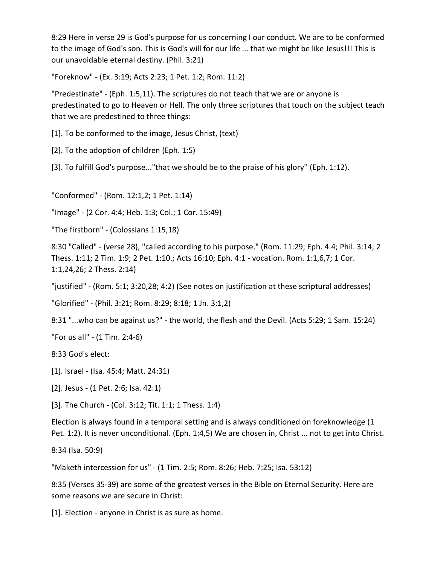8:29 Here in verse 29 is God's purpose for us concerning I our conduct. We are to be conformed to the image of God's son. This is God's will for our life ... that we might be like Jesus!!! This is our unavoidable eternal destiny. (Phil. 3:21)

"Foreknow" - (Ex. 3:19; Acts 2:23; 1 Pet. 1:2; Rom. 11:2)

"Predestinate" - (Eph. 1:5,11). The scriptures do not teach that we are or anyone is predestinated to go to Heaven or Hell. The only three scriptures that touch on the subject teach that we are predestined to three things:

[1]. To be conformed to the image, Jesus Christ, (text)

[2]. To the adoption of children (Eph. 1:5)

[3]. To fulfill God's purpose..."that we should be to the praise of his glory'' (Eph. 1:12).

"Conformed" - (Rom. 12:1,2; 1 Pet. 1:14)

"Image" - (2 Cor. 4:4; Heb. 1:3; Col.; 1 Cor. 15:49)

"The firstborn" - (Colossians 1:15,18)

8:30 "Called" - (verse 28), "called according to his purpose." (Rom. 11:29; Eph. 4:4; Phil. 3:14; 2 Thess. 1:11; 2 Tim. 1:9; 2 Pet. 1:10.; Acts 16:10; Eph. 4:1 - vocation. Rom. 1:1,6,7; 1 Cor. 1:1,24,26; 2 Thess. 2:14)

"justified" - (Rom. 5:1; 3:20,28; 4:2) (See notes on justification at these scriptural addresses)

"Glorified" - (Phil. 3:21; Rom. 8:29; 8:18; 1 Jn. 3:1,2)

8:31 "...who can be against us?" - the world, the flesh and the Devil. (Acts 5:29; 1 Sam. 15:24)

"For us all" - (1 Tim. 2:4-6)

8:33 God's elect:

[1]. Israel - (Isa. 45:4; Matt. 24:31)

[2]. Jesus - (1 Pet. 2:6; Isa. 42:1)

[3]. The Church - (Col. 3:12; Tit. 1:1; 1 Thess. 1:4)

Election is always found in a temporal setting and is always conditioned on foreknowledge (1 Pet. 1:2). It is never unconditional. (Eph. 1:4,5) We are chosen in, Christ ... not to get into Christ.

8:34 (Isa. 50:9)

"Maketh intercession for us" - (1 Tim. 2:5; Rom. 8:26; Heb. 7:25; Isa. 53:12)

8:35 (Verses 35-39) are some of the greatest verses in the Bible on Eternal Security. Here are some reasons we are secure in Christ:

[1]. Election - anyone in Christ is as sure as home.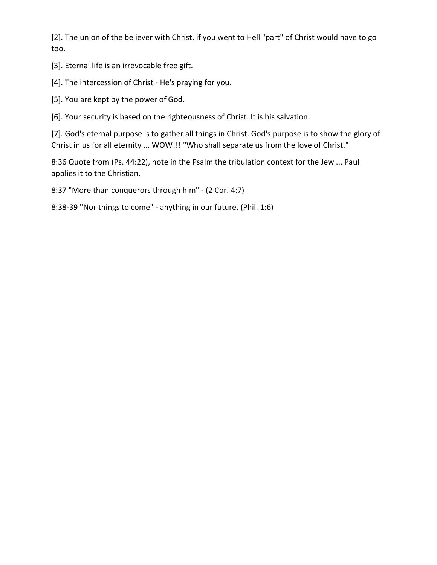[2]. The union of the believer with Christ, if you went to Hell "part" of Christ would have to go too.

[3]. Eternal life is an irrevocable free gift.

[4]. The intercession of Christ - He's praying for you.

[5]. You are kept by the power of God.

[6]. Your security is based on the righteousness of Christ. It is his salvation.

[7]. God's eternal purpose is to gather all things in Christ. God's purpose is to show the glory of Christ in us for all eternity ... WOW!!! "Who shall separate us from the love of Christ."

8:36 Quote from (Ps. 44:22), note in the Psalm the tribulation context for the Jew ... Paul applies it to the Christian.

8:37 "More than conquerors through him" - (2 Cor. 4:7)

8:38-39 "Nor things to come" - anything in our future. (Phil. 1:6)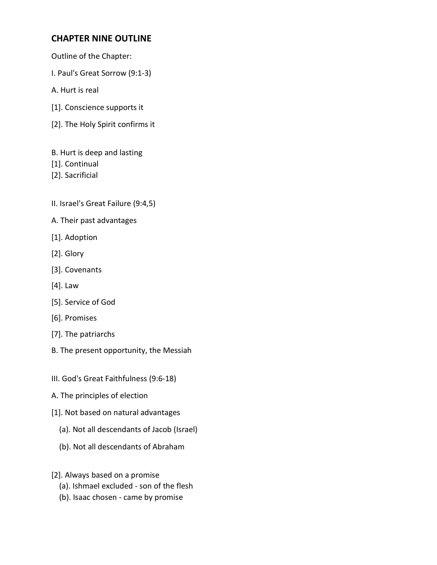# **CHAPTER NINE OUTLINE**

- Outline of the Chapter:
- I. Paul's Great Sorrow (9:1-3)
- A. Hurt is real
- [1]. Conscience supports it
- [2]. The Holy Spirit confirms it
- B. Hurt is deep and lasting
- [1]. Continual
- [2]. Sacrificial
- II. Israel's Great Failure (9:4,5)
- A. Their past advantages
- [1]. Adoption
- [2]. Glory
- [3]. Covenants
- [4]. Law
- [5]. Service of God
- [6]. Promises
- [7]. The patriarchs
- B. The present opportunity, the Messiah
- III. God's Great Faithfulness (9:6-18)
- A. The principles of election
- [1]. Not based on natural advantages
	- (a). Not all descendants of Jacob (Israel)
	- (b). Not all descendants of Abraham
- [2]. Always based on a promise
	- (a). Ishmael excluded son of the flesh
	- (b). Isaac chosen came by promise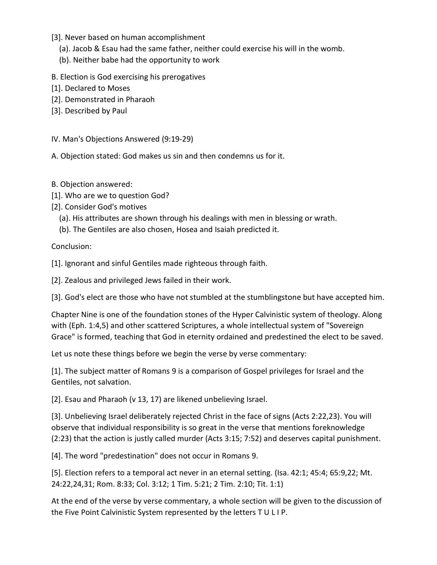- [3]. Never based on human accomplishment
	- (a). Jacob & Esau had the same father, neither could exercise his will in the womb.
	- (b). Neither babe had the opportunity to work
- B. Election is God exercising his prerogatives
- [1]. Declared to Moses
- [2]. Demonstrated in Pharaoh
- [3]. Described by Paul

IV. Man's Objections Answered (9:19-29)

A. Objection stated: God makes us sin and then condemns us for it.

- B. Objection answered:
- [1]. Who are we to question God?
- [2]. Consider God's motives
	- (a). His attributes are shown through his dealings with men in blessing or wrath.
	- (b). The Gentiles are also chosen, Hosea and Isaiah predicted it.

Conclusion:

[1]. Ignorant and sinful Gentiles made righteous through faith.

[2]. Zealous and privileged Jews failed in their work.

[3]. God's elect are those who have not stumbled at the stumblingstone but have accepted him.

Chapter Nine is one of the foundation stones of the Hyper Calvinistic system of theology. Along with (Eph. 1:4,5) and other scattered Scriptures, a whole intellectual system of "Sovereign Grace" is formed, teaching that God in eternity ordained and predestined the elect to be saved.

Let us note these things before we begin the verse by verse commentary:

[1]. The subject matter of Romans 9 is a comparison of Gospel privileges for Israel and the Gentiles, not salvation.

[2]. Esau and Pharaoh (v 13, 17) are likened unbelieving Israel.

[3]. Unbelieving Israel deliberately rejected Christ in the face of signs (Acts 2:22,23). You will observe that individual responsibility is so great in the verse that mentions foreknowledge (2:23) that the action is justly called murder (Acts 3:15; 7:52) and deserves capital punishment.

[4]. The word "predestination" does not occur in Romans 9.

[5]. Election refers to a temporal act never in an eternal setting. (Isa. 42:1; 45:4; 65:9,22; Mt. 24:22,24,31; Rom. 8:33; Col. 3:12; 1 Tim. 5:21; 2 Tim. 2:10; Tit. 1:1)

At the end of the verse by verse commentary, a whole section will be given to the discussion of the Five Point Calvinistic System represented by the letters T U L I P.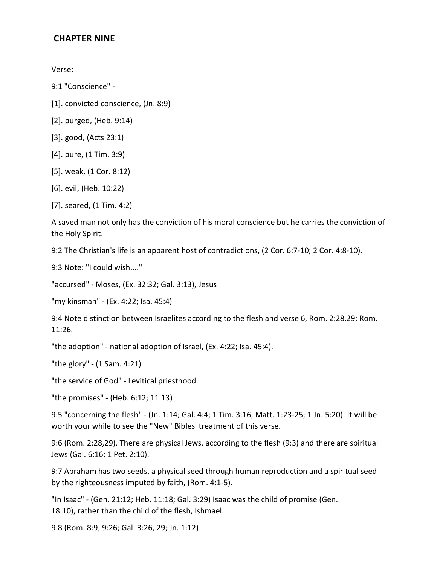### **CHAPTER NINE**

Verse:

9:1 "Conscience" -

- [1]. convicted conscience, (Jn. 8:9)
- [2]. purged, (Heb. 9:14)
- [3]. good, (Acts 23:1)
- [4]. pure, (1 Tim. 3:9)
- [5]. weak, (1 Cor. 8:12)
- [6]. evil, (Heb. 10:22)
- [7]. seared, (1 Tim. 4:2)

A saved man not only has the conviction of his moral conscience but he carries the conviction of the Holy Spirit.

9:2 The Christian's life is an apparent host of contradictions, (2 Cor. 6:7-10; 2 Cor. 4:8-10).

9:3 Note: "I could wish...."

"accursed" - Moses, (Ex. 32:32; Gal. 3:13), Jesus

"my kinsman" - (Ex. 4:22; Isa. 45:4)

9:4 Note distinction between Israelites according to the flesh and verse 6, Rom. 2:28,29; Rom. 11:26.

"the adoption" - national adoption of Israel, (Ex. 4:22; Isa. 45:4).

"the glory" - (1 Sam. 4:21)

"the service of God" - Levitical priesthood

"the promises" - (Heb. 6:12; 11:13)

9:5 "concerning the flesh" - (Jn. 1:14; Gal. 4:4; 1 Tim. 3:16; Matt. 1:23-25; 1 Jn. 5:20). It will be worth your while to see the "New" Bibles' treatment of this verse.

9:6 (Rom. 2:28,29). There are physical Jews, according to the flesh (9:3) and there are spiritual Jews (Gal. 6:16; 1 Pet. 2:10).

9:7 Abraham has two seeds, a physical seed through human reproduction and a spiritual seed by the righteousness imputed by faith, (Rom. 4:1-5).

"In Isaac" - (Gen. 21:12; Heb. 11:18; Gal. 3:29) Isaac was the child of promise (Gen. 18:10), rather than the child of the flesh, Ishmael.

9:8 (Rom. 8:9; 9:26; Gal. 3:26, 29; Jn. 1:12)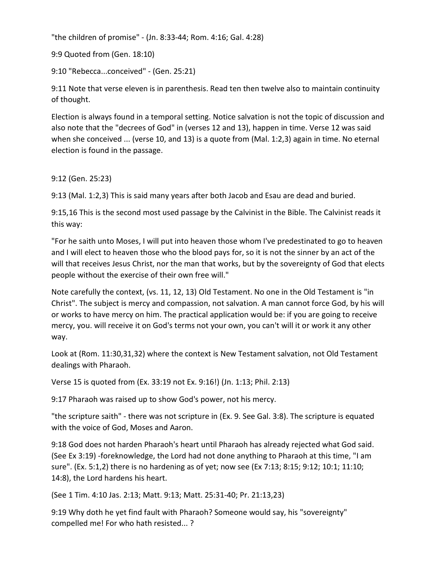"the children of promise" - (Jn. 8:33-44; Rom. 4:16; Gal. 4:28)

9:9 Quoted from (Gen. 18:10)

9:10 "Rebecca...conceived" - (Gen. 25:21)

9:11 Note that verse eleven is in parenthesis. Read ten then twelve also to maintain continuity of thought.

Election is always found in a temporal setting. Notice salvation is not the topic of discussion and also note that the "decrees of God" in (verses 12 and 13), happen in time. Verse 12 was said when she conceived ... (verse 10, and 13) is a quote from (Mal. 1:2,3) again in time. No eternal election is found in the passage.

9:12 (Gen. 25:23)

9:13 (Mal. 1:2,3) This is said many years after both Jacob and Esau are dead and buried.

9:15,16 This is the second most used passage by the Calvinist in the Bible. The Calvinist reads it this way:

"For he saith unto Moses, I will put into heaven those whom I've predestinated to go to heaven and I will elect to heaven those who the blood pays for, so it is not the sinner by an act of the will that receives Jesus Christ, nor the man that works, but by the sovereignty of God that elects people without the exercise of their own free will."

Note carefully the context, (vs. 11, 12, 13) Old Testament. No one in the Old Testament is "in Christ". The subject is mercy and compassion, not salvation. A man cannot force God, by his will or works to have mercy on him. The practical application would be: if you are going to receive mercy, you. will receive it on God's terms not your own, you can't will it or work it any other way.

Look at (Rom. 11:30,31,32) where the context is New Testament salvation, not Old Testament dealings with Pharaoh.

Verse 15 is quoted from (Ex. 33:19 not Ex. 9:16!) (Jn. 1:13; Phil. 2:13)

9:17 Pharaoh was raised up to show God's power, not his mercy.

"the scripture saith" - there was not scripture in (Ex. 9. See Gal. 3:8). The scripture is equated with the voice of God, Moses and Aaron.

9:18 God does not harden Pharaoh's heart until Pharaoh has already rejected what God said. (See Ex 3:19) -foreknowledge, the Lord had not done anything to Pharaoh at this time, "I am sure". (Ex. 5:1,2) there is no hardening as of yet; now see (Ex 7:13; 8:15; 9:12; 10:1; 11:10; 14:8), the Lord hardens his heart.

(See 1 Tim. 4:10 Jas. 2:13; Matt. 9:13; Matt. 25:31-40; Pr. 21:13,23)

9:19 Why doth he yet find fault with Pharaoh? Someone would say, his "sovereignty" compelled me! For who hath resisted... ?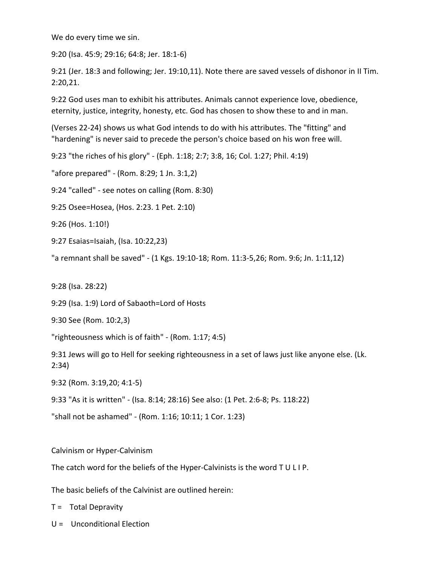We do every time we sin.

9:20 (Isa. 45:9; 29:16; 64:8; Jer. 18:1-6)

9:21 (Jer. 18:3 and following; Jer. 19:10,11). Note there are saved vessels of dishonor in II Tim. 2:20,21.

9:22 God uses man to exhibit his attributes. Animals cannot experience love, obedience, eternity, justice, integrity, honesty, etc. God has chosen to show these to and in man.

(Verses 22-24) shows us what God intends to do with his attributes. The "fitting" and "hardening" is never said to precede the person's choice based on his won free will.

9:23 "the riches of his glory" - (Eph. 1:18; 2:7; 3:8, 16; Col. 1:27; Phil. 4:19)

"afore prepared" - (Rom. 8:29; 1 Jn. 3:1,2)

9:24 "called" - see notes on calling (Rom. 8:30)

9:25 Osee=Hosea, (Hos. 2:23. 1 Pet. 2:10)

9:26 (Hos. 1:10!)

9:27 Esaias=Isaiah, (Isa. 10:22,23)

"a remnant shall be saved" - (1 Kgs. 19:10-18; Rom. 11:3-5,26; Rom. 9:6; Jn. 1:11,12)

9:28 (Isa. 28:22)

9:29 (Isa. 1:9) Lord of Sabaoth=Lord of Hosts

9:30 See (Rom. 10:2,3)

"righteousness which is of faith" - (Rom. 1:17; 4:5)

9:31 Jews will go to Hell for seeking righteousness in a set of laws just like anyone else. (Lk. 2:34)

9:32 (Rom. 3:19,20; 4:1-5)

9:33 "As it is written" - (Isa. 8:14; 28:16) See also: (1 Pet. 2:6-8; Ps. 118:22)

"shall not be ashamed" - (Rom. 1:16; 10:11; 1 Cor. 1:23)

Calvinism or Hyper-Calvinism

The catch word for the beliefs of the Hyper-Calvinists is the word T U L I P.

The basic beliefs of the Calvinist are outlined herein:

T = Total Depravity

 $U =$  Unconditional Election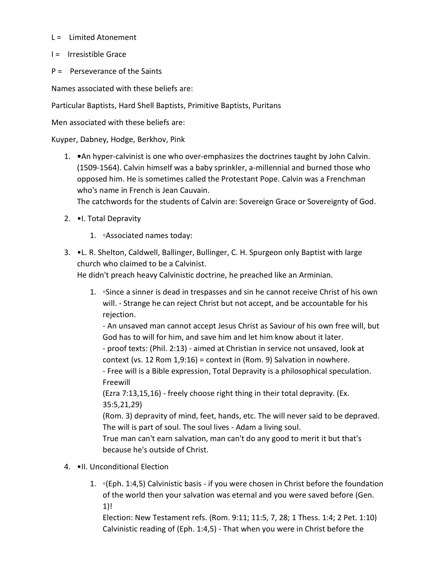- $L =$  Limited Atonement
- I = Irresistible Grace
- P = Perseverance of the Saints

Names associated with these beliefs are:

Particular Baptists, Hard Shell Baptists, Primitive Baptists, Puritans

Men associated with these beliefs are:

Kuyper, Dabney, Hodge, Berkhov, Pink

1. **•**An hyper-calvinist is one who over-emphasizes the doctrines taught by John Calvin. (1509-1564). Calvin himself was a baby sprinkler, a-millennial and burned those who opposed him. He is sometimes called the Protestant Pope. Calvin was a Frenchman who's name in French is Jean Cauvain.

The catchwords for the students of Calvin are: Sovereign Grace or Sovereignty of God.

- 2. •I. Total Depravity
	- 1. ◦Associated names today:
- 3. •L. R. Shelton, Caldwell, Ballinger, Bullinger, C. H. Spurgeon only Baptist with large church who claimed to be a Calvinist.

He didn't preach heavy Calvinistic doctrine, he preached like an Arminian.

1. **◦**Since a sinner is dead in trespasses and sin he cannot receive Christ of his own will. - Strange he can reject Christ but not accept, and be accountable for his rejection.

- An unsaved man cannot accept Jesus Christ as Saviour of his own free will, but God has to will for him, and save him and let him know about it later.

- proof texts: (Phil. 2:13) - aimed at Christian in service not unsaved, look at context (vs. 12 Rom 1,9:16) = context in (Rom. 9) Salvation in nowhere.

- Free will is a Bible expression, Total Depravity is a philosophical speculation. Freewill

(Ezra 7:13,15,16) - freely choose right thing in their total depravity. (Ex. 35:5,21,29)

(Rom. 3) depravity of mind, feet, hands, etc. The will never said to be depraved. The will is part of soul. The soul lives - Adam a living soul.

True man can't earn salvation, man can't do any good to merit it but that's because he's outside of Christ.

- 4. •II. Unconditional Election
	- 1. ◦(Eph. 1:4,5) Calvinistic basis if you were chosen in Christ before the foundation of the world then your salvation was eternal and you were saved before (Gen. 1)!

Election: New Testament refs. (Rom. 9:11; 11:5, 7, 28; 1 Thess. 1:4; 2 Pet. 1:10) Calvinistic reading of (Eph. 1:4,5) - That when you were in Christ before the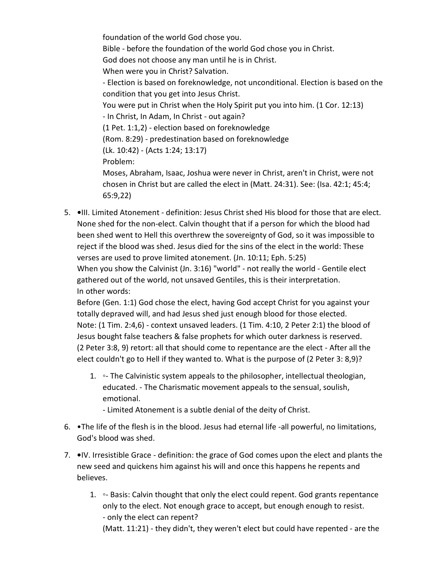foundation of the world God chose you. Bible - before the foundation of the world God chose you in Christ. God does not choose any man until he is in Christ. When were you in Christ? Salvation. - Election is based on foreknowledge, not unconditional. Election is based on the condition that you get into Jesus Christ. You were put in Christ when the Holy Spirit put you into him. (1 Cor. 12:13) - In Christ, In Adam, In Christ - out again? (1 Pet. 1:1,2) - election based on foreknowledge (Rom. 8:29) - predestination based on foreknowledge (Lk. 10:42) - (Acts 1:24; 13:17) Problem: Moses, Abraham, Isaac, Joshua were never in Christ, aren't in Christ, were not chosen in Christ but are called the elect in (Matt. 24:31). See: (Isa. 42:1; 45:4;

5. **•**III. Limited Atonement - definition: Jesus Christ shed His blood for those that are elect. None shed for the non-elect. Calvin thought that if a person for which the blood had been shed went to Hell this overthrew the sovereignty of God, so it was impossible to reject if the blood was shed. Jesus died for the sins of the elect in the world: These verses are used to prove limited atonement. (Jn. 10:11; Eph. 5:25) When you show the Calvinist (Jn. 3:16) "world" - not really the world - Gentile elect gathered out of the world, not unsaved Gentiles, this is their interpretation. In other words:

65:9,22)

Before (Gen. 1:1) God chose the elect, having God accept Christ for you against your totally depraved will, and had Jesus shed just enough blood for those elected. Note: (1 Tim. 2:4,6) - context unsaved leaders. (1 Tim. 4:10, 2 Peter 2:1) the blood of Jesus bought false teachers & false prophets for which outer darkness is reserved. (2 Peter 3:8, 9) retort: all that should come to repentance are the elect - After all the elect couldn't go to Hell if they wanted to. What is the purpose of (2 Peter 3: 8,9)?

- 1. ◦- The Calvinistic system appeals to the philosopher, intellectual theologian, educated. - The Charismatic movement appeals to the sensual, soulish, emotional.
	- Limited Atonement is a subtle denial of the deity of Christ.
- 6. •The life of the flesh is in the blood. Jesus had eternal life -all powerful, no limitations, God's blood was shed.
- 7. **•**IV. Irresistible Grace definition: the grace of God comes upon the elect and plants the new seed and quickens him against his will and once this happens he repents and believes.
	- 1. ◦- Basis: Calvin thought that only the elect could repent. God grants repentance only to the elect. Not enough grace to accept, but enough enough to resist. - only the elect can repent? (Matt. 11:21) - they didn't, they weren't elect but could have repented - are the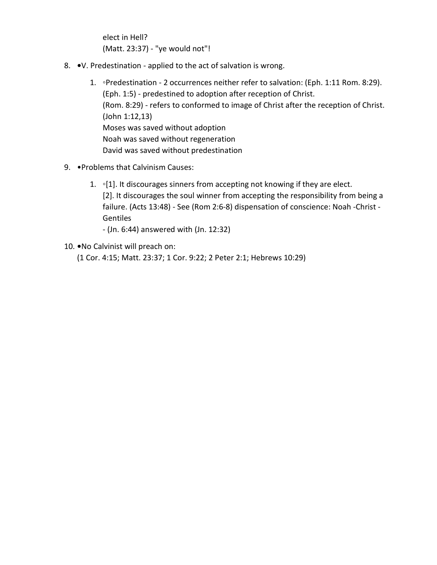elect in Hell? (Matt. 23:37) - "ye would not"!

- 8. **•**V. Predestination applied to the act of salvation is wrong.
	- 1. ◦Predestination 2 occurrences neither refer to salvation: (Eph. 1:11 Rom. 8:29). (Eph. 1:5) - predestined to adoption after reception of Christ. (Rom. 8:29) - refers to conformed to image of Christ after the reception of Christ. (John 1:12,13) Moses was saved without adoption Noah was saved without regeneration David was saved without predestination
- 9. •Problems that Calvinism Causes:
	- 1. 
	•[1]. It discourages sinners from accepting not knowing if they are elect. [2]. It discourages the soul winner from accepting the responsibility from being a failure. (Acts 13:48) - See (Rom 2:6-8) dispensation of conscience: Noah -Christ - Gentiles
		- (Jn. 6:44) answered with (Jn. 12:32)
- 10. **•**No Calvinist will preach on:

(1 Cor. 4:15; Matt. 23:37; 1 Cor. 9:22; 2 Peter 2:1; Hebrews 10:29)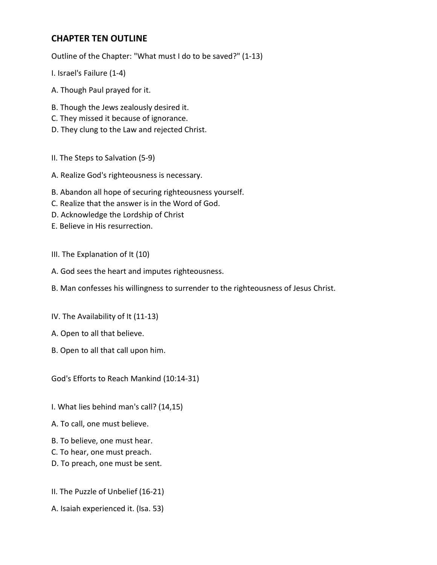# **CHAPTER TEN OUTLINE**

Outline of the Chapter: "What must I do to be saved?" (1-13)

- I. Israel's Failure (1-4)
- A. Though Paul prayed for it.
- B. Though the Jews zealously desired it.
- C. They missed it because of ignorance.
- D. They clung to the Law and rejected Christ.
- II. The Steps to Salvation (5-9)
- A. Realize God's righteousness is necessary.
- B. Abandon all hope of securing righteousness yourself.
- C. Realize that the answer is in the Word of God.
- D. Acknowledge the Lordship of Christ
- E. Believe in His resurrection.
- III. The Explanation of It (10)
- A. God sees the heart and imputes righteousness.
- B. Man confesses his willingness to surrender to the righteousness of Jesus Christ.
- IV. The Availability of It (11-13)
- A. Open to all that believe.
- B. Open to all that call upon him.

God's Efforts to Reach Mankind (10:14-31)

- I. What lies behind man's call? (14,15)
- A. To call, one must believe.
- B. To believe, one must hear.
- C. To hear, one must preach.
- D. To preach, one must be sent.
- II. The Puzzle of Unbelief (16-21)
- A. Isaiah experienced it. (Isa. 53)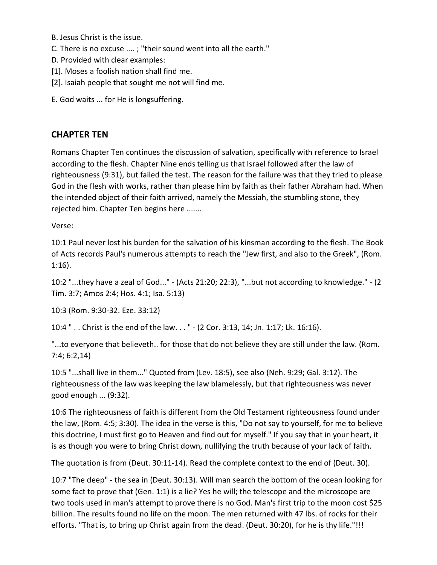- B. Jesus Christ is the issue.
- C. There is no excuse .... ; "their sound went into all the earth."
- D. Provided with clear examples:
- [1]. Moses a foolish nation shall find me.
- [2]. Isaiah people that sought me not will find me.
- E. God waits ... for He is longsuffering.

# **CHAPTER TEN**

Romans Chapter Ten continues the discussion of salvation, specifically with reference to Israel according to the flesh. Chapter Nine ends telling us that Israel followed after the law of righteousness (9:31), but failed the test. The reason for the failure was that they tried to please God in the flesh with works, rather than please him by faith as their father Abraham had. When the intended object of their faith arrived, namely the Messiah, the stumbling stone, they rejected him. Chapter Ten begins here .......

Verse:

10:1 Paul never lost his burden for the salvation of his kinsman according to the flesh. The Book of Acts records Paul's numerous attempts to reach the "Jew first, and also to the Greek", (Rom. 1:16).

10:2 "...they have a zeal of God..." - (Acts 21:20; 22:3), "...but not according to knowledge." - (2 Tim. 3:7; Amos 2:4; Hos. 4:1; Isa. 5:13)

10:3 (Rom. 9:30-32. Eze. 33:12)

10:4 " . . Christ is the end of the law. . . " - (2 Cor. 3:13, 14; Jn. 1:17; Lk. 16:16).

"...to everyone that believeth.. for those that do not believe they are still under the law. (Rom. 7:4; 6:2,14)

10:5 "...shall live in them..." Quoted from (Lev. 18:5), see also (Neh. 9:29; Gal. 3:12). The righteousness of the law was keeping the law blamelessly, but that righteousness was never good enough ... (9:32).

10:6 The righteousness of faith is different from the Old Testament righteousness found under the law, (Rom. 4:5; 3:30). The idea in the verse is this, "Do not say to yourself, for me to believe this doctrine, I must first go to Heaven and find out for myself." If you say that in your heart, it is as though you were to bring Christ down, nullifying the truth because of your lack of faith.

The quotation is from (Deut. 30:11-14). Read the complete context to the end of (Deut. 30).

10:7 "The deep" - the sea in (Deut. 30:13). Will man search the bottom of the ocean looking for some fact to prove that (Gen. 1:1) is a lie? Yes he will; the telescope and the microscope are two tools used in man's attempt to prove there is no God. Man's first trip to the moon cost \$25 billion. The results found no life on the moon. The men returned with 47 lbs. of rocks for their efforts. "That is, to bring up Christ again from the dead. (Deut. 30:20), for he is thy life."!!!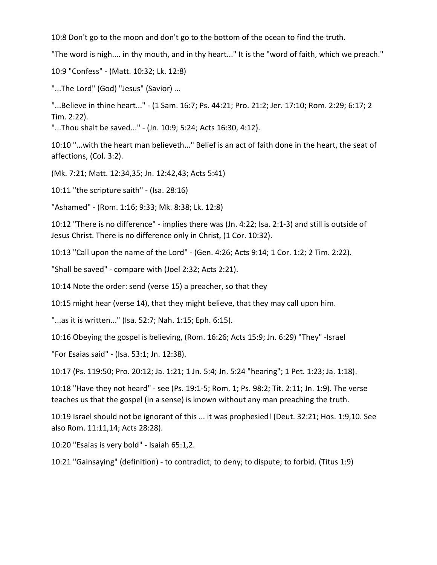10:8 Don't go to the moon and don't go to the bottom of the ocean to find the truth.

"The word is nigh.... in thy mouth, and in thy heart..." It is the "word of faith, which we preach."

10:9 "Confess" - (Matt. 10:32; Lk. 12:8)

"...The Lord" (God) "Jesus" (Savior) ...

"...Believe in thine heart..." - (1 Sam. 16:7; Ps. 44:21; Pro. 21:2; Jer. 17:10; Rom. 2:29; 6:17; 2 Tim. 2:22).

"...Thou shalt be saved..." - (Jn. 10:9; 5:24; Acts 16:30, 4:12).

10:10 "...with the heart man believeth..." Belief is an act of faith done in the heart, the seat of affections, (Col. 3:2).

(Mk. 7:21; Matt. 12:34,35; Jn. 12:42,43; Acts 5:41)

10:11 "the scripture saith" - (Isa. 28:16)

"Ashamed" - (Rom. 1:16; 9:33; Mk. 8:38; Lk. 12:8)

10:12 "There is no difference" - implies there was (Jn. 4:22; Isa. 2:1-3) and still is outside of Jesus Christ. There is no difference only in Christ, (1 Cor. 10:32).

10:13 "Call upon the name of the Lord" - (Gen. 4:26; Acts 9:14; 1 Cor. 1:2; 2 Tim. 2:22).

"Shall be saved" - compare with (Joel 2:32; Acts 2:21).

10:14 Note the order: send (verse 15) a preacher, so that they

10:15 might hear (verse 14), that they might believe, that they may call upon him.

"...as it is written..." (Isa. 52:7; Nah. 1:15; Eph. 6:15).

10:16 Obeying the gospel is believing, (Rom. 16:26; Acts 15:9; Jn. 6:29) "They" -Israel

"For Esaias said" - (Isa. 53:1; Jn. 12:38).

10:17 (Ps. 119:50; Pro. 20:12; Ja. 1:21; 1 Jn. 5:4; Jn. 5:24 "hearing"; 1 Pet. 1:23; Ja. 1:18).

10:18 "Have they not heard" - see (Ps. 19:1-5; Rom. 1; Ps. 98:2; Tit. 2:11; Jn. 1:9). The verse teaches us that the gospel (in a sense) is known without any man preaching the truth.

10:19 Israel should not be ignorant of this ... it was prophesied! (Deut. 32:21; Hos. 1:9,10. See also Rom. 11:11,14; Acts 28:28).

10:20 "Esaias is very bold" - Isaiah 65:1,2.

10:21 "Gainsaying" (definition) - to contradict; to deny; to dispute; to forbid. (Titus 1:9)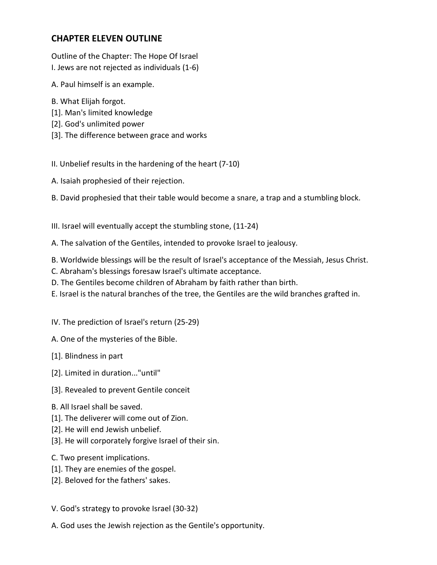# **CHAPTER ELEVEN OUTLINE**

Outline of the Chapter: The Hope Of Israel I. Jews are not rejected as individuals (1-6)

A. Paul himself is an example.

- B. What Elijah forgot.
- [1]. Man's limited knowledge
- [2]. God's unlimited power
- [3]. The difference between grace and works
- II. Unbelief results in the hardening of the heart (7-10)
- A. Isaiah prophesied of their rejection.

B. David prophesied that their table would become a snare, a trap and a stumbling block.

- III. Israel will eventually accept the stumbling stone, (11-24)
- A. The salvation of the Gentiles, intended to provoke Israel to jealousy.
- B. Worldwide blessings will be the result of Israel's acceptance of the Messiah, Jesus Christ.
- C. Abraham's blessings foresaw Israel's ultimate acceptance.
- D. The Gentiles become children of Abraham by faith rather than birth.
- E. Israel is the natural branches of the tree, the Gentiles are the wild branches grafted in.
- IV. The prediction of Israel's return (25-29)
- A. One of the mysteries of the Bible.
- [1]. Blindness in part
- [2]. Limited in duration..."until"
- [3]. Revealed to prevent Gentile conceit
- B. All Israel shall be saved.
- [1]. The deliverer will come out of Zion.
- [2]. He will end Jewish unbelief.
- [3]. He will corporately forgive Israel of their sin.
- C. Two present implications.
- [1]. They are enemies of the gospel.
- [2]. Beloved for the fathers' sakes.
- V. God's strategy to provoke Israel (30-32)
- A. God uses the Jewish rejection as the Gentile's opportunity.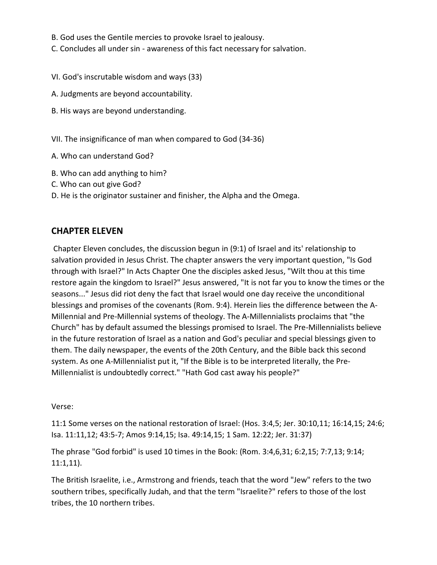- B. God uses the Gentile mercies to provoke Israel to jealousy.
- C. Concludes all under sin awareness of this fact necessary for salvation.
- VI. God's inscrutable wisdom and ways (33)
- A. Judgments are beyond accountability.
- B. His ways are beyond understanding.
- VII. The insignificance of man when compared to God (34-36)
- A. Who can understand God?
- B. Who can add anything to him?
- C. Who can out give God?
- D. He is the originator sustainer and finisher, the Alpha and the Omega.

### **CHAPTER ELEVEN**

Chapter Eleven concludes, the discussion begun in (9:1) of Israel and its' relationship to salvation provided in Jesus Christ. The chapter answers the very important question, "Is God through with Israel?" In Acts Chapter One the disciples asked Jesus, "Wilt thou at this time restore again the kingdom to Israel?" Jesus answered, "It is not far you to know the times or the seasons..." Jesus did riot deny the fact that Israel would one day receive the unconditional blessings and promises of the covenants (Rom. 9:4). Herein lies the difference between the A-Millennial and Pre-Millennial systems of theology. The A-Millennialists proclaims that "the Church" has by default assumed the blessings promised to Israel. The Pre-Millennialists believe in the future restoration of Israel as a nation and God's peculiar and special blessings given to them. The daily newspaper, the events of the 20th Century, and the Bible back this second system. As one A-Millennialist put it, "If the Bible is to be interpreted literally, the Pre-Millennialist is undoubtedly correct." "Hath God cast away his people?"

Verse:

11:1 Some verses on the national restoration of Israel: (Hos. 3:4,5; Jer. 30:10,11; 16:14,15; 24:6; Isa. 11:11,12; 43:5-7; Amos 9:14,15; Isa. 49:14,15; 1 Sam. 12:22; Jer. 31:37)

The phrase "God forbid" is used 10 times in the Book: (Rom. 3:4,6,31; 6:2,15; 7:7,13; 9:14; 11:1,11).

The British Israelite, i.e., Armstrong and friends, teach that the word "Jew" refers to the two southern tribes, specifically Judah, and that the term "Israelite?" refers to those of the lost tribes, the 10 northern tribes.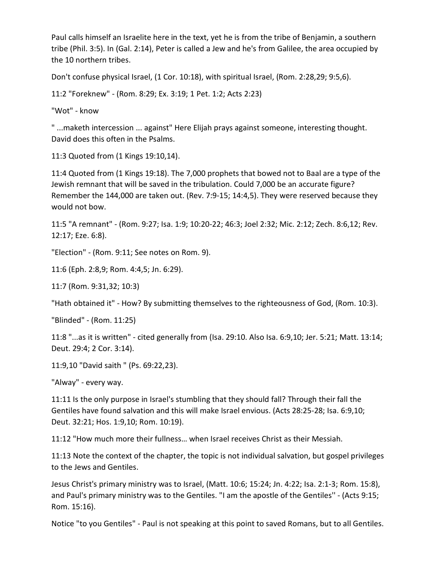Paul calls himself an Israelite here in the text, yet he is from the tribe of Benjamin, a southern tribe (Phil. 3:5). In (Gal. 2:14), Peter is called a Jew and he's from Galilee, the area occupied by the 10 northern tribes.

Don't confuse physical Israel, (1 Cor. 10:18), with spiritual Israel, (Rom. 2:28,29; 9:5,6).

11:2 "Foreknew" - (Rom. 8:29; Ex. 3:19; 1 Pet. 1:2; Acts 2:23)

"Wot" - know

" ...maketh intercession ... against" Here Elijah prays against someone, interesting thought. David does this often in the Psalms.

11:3 Quoted from (1 Kings 19:10,14).

11:4 Quoted from (1 Kings 19:18). The 7,000 prophets that bowed not to Baal are a type of the Jewish remnant that will be saved in the tribulation. Could 7,000 be an accurate figure? Remember the 144,000 are taken out. (Rev. 7:9-15; 14:4,5). They were reserved because they would not bow.

11:5 "A remnant" - (Rom. 9:27; Isa. 1:9; 10:20-22; 46:3; Joel 2:32; Mic. 2:12; Zech. 8:6,12; Rev. 12:17; Eze. 6:8).

"Election" - (Rom. 9:11; See notes on Rom. 9).

11:6 (Eph. 2:8,9; Rom. 4:4,5; Jn. 6:29).

11:7 (Rom. 9:31,32; 10:3)

"Hath obtained it" - How? By submitting themselves to the righteousness of God, (Rom. 10:3).

"Blinded" - (Rom. 11:25)

11:8 "...as it is written" - cited generally from (Isa. 29:10. Also Isa. 6:9,10; Jer. 5:21; Matt. 13:14; Deut. 29:4; 2 Cor. 3:14).

11:9,10 "David saith " (Ps. 69:22,23).

"Alway" - every way.

11:11 Is the only purpose in Israel's stumbling that they should fall? Through their fall the Gentiles have found salvation and this will make Israel envious. (Acts 28:25-28; Isa. 6:9,10; Deut. 32:21; Hos. 1:9,10; Rom. 10:19).

11:12 "How much more their fullness… when Israel receives Christ as their Messiah.

11:13 Note the context of the chapter, the topic is not individual salvation, but gospel privileges to the Jews and Gentiles.

Jesus Christ's primary ministry was to Israel, (Matt. 10:6; 15:24; Jn. 4:22; Isa. 2:1-3; Rom. 15:8), and Paul's primary ministry was to the Gentiles. "I am the apostle of the Gentiles'' - (Acts 9:15; Rom. 15:16).

Notice "to you Gentiles" - Paul is not speaking at this point to saved Romans, but to all Gentiles.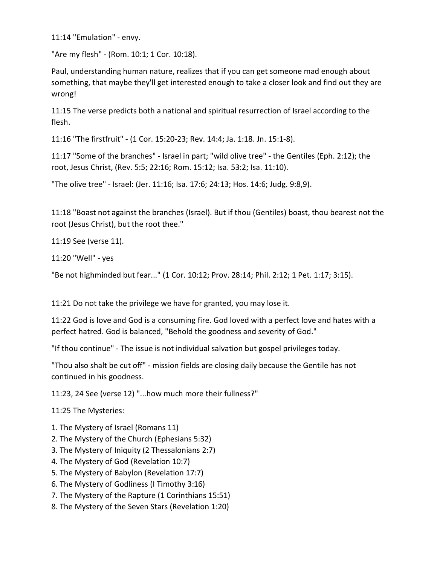11:14 "Emulation" - envy.

"Are my flesh" - (Rom. 10:1; 1 Cor. 10:18).

Paul, understanding human nature, realizes that if you can get someone mad enough about something, that maybe they'll get interested enough to take a closer look and find out they are wrong!

11:15 The verse predicts both a national and spiritual resurrection of Israel according to the flesh.

11:16 "The firstfruit" - (1 Cor. 15:20-23; Rev. 14:4; Ja. 1:18. Jn. 15:1-8).

11:17 "Some of the branches" - Israel in part; "wild olive tree" - the Gentiles (Eph. 2:12); the root, Jesus Christ, (Rev. 5:5; 22:16; Rom. 15:12; Isa. 53:2; Isa. 11:10).

"The olive tree" - Israel: (Jer. 11:16; Isa. 17:6; 24:13; Hos. 14:6; Judg. 9:8,9).

11:18 "Boast not against the branches (Israel). But if thou (Gentiles) boast, thou bearest not the root (Jesus Christ), but the root thee."

11:19 See (verse 11).

11:20 "Well" - yes

"Be not highminded but fear..." (1 Cor. 10:12; Prov. 28:14; Phil. 2:12; 1 Pet. 1:17; 3:15).

11:21 Do not take the privilege we have for granted, you may lose it.

11:22 God is love and God is a consuming fire. God loved with a perfect love and hates with a perfect hatred. God is balanced, "Behold the goodness and severity of God."

"If thou continue" - The issue is not individual salvation but gospel privileges today.

"Thou also shalt be cut off" - mission fields are closing daily because the Gentile has not continued in his goodness.

11:23, 24 See (verse 12) "...how much more their fullness?"

11:25 The Mysteries:

- 1. The Mystery of Israel (Romans 11)
- 2. The Mystery of the Church (Ephesians 5:32)
- 3. The Mystery of Iniquity (2 Thessalonians 2:7)
- 4. The Mystery of God (Revelation 10:7)
- 5. The Mystery of Babylon (Revelation 17:7)
- 6. The Mystery of Godliness (I Timothy 3:16)
- 7. The Mystery of the Rapture (1 Corinthians 15:51)
- 8. The Mystery of the Seven Stars (Revelation 1:20)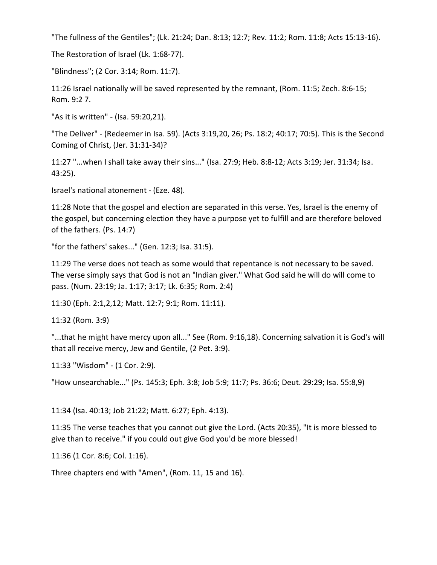"The fullness of the Gentiles"; (Lk. 21:24; Dan. 8:13; 12:7; Rev. 11:2; Rom. 11:8; Acts 15:13-16).

The Restoration of Israel (Lk. 1:68-77).

"Blindness"; (2 Cor. 3:14; Rom. 11:7).

11:26 Israel nationally will be saved represented by the remnant, (Rom. 11:5; Zech. 8:6-15; Rom. 9:2 7.

"As it is written" - (Isa. 59:20,21).

"The Deliver" - (Redeemer in Isa. 59). (Acts 3:19,20, 26; Ps. 18:2; 40:17; 70:5). This is the Second Coming of Christ, (Jer. 31:31-34)?

11:27 "...when I shall take away their sins..." (Isa. 27:9; Heb. 8:8-12; Acts 3:19; Jer. 31:34; Isa. 43:25).

Israel's national atonement - (Eze. 48).

11:28 Note that the gospel and election are separated in this verse. Yes, Israel is the enemy of the gospel, but concerning election they have a purpose yet to fulfill and are therefore beloved of the fathers. (Ps. 14:7)

"for the fathers' sakes..." (Gen. 12:3; Isa. 31:5).

11:29 The verse does not teach as some would that repentance is not necessary to be saved. The verse simply says that God is not an "Indian giver." What God said he will do will come to pass. (Num. 23:19; Ja. 1:17; 3:17; Lk. 6:35; Rom. 2:4)

11:30 (Eph. 2:1,2,12; Matt. 12:7; 9:1; Rom. 11:11).

11:32 (Rom. 3:9)

"...that he might have mercy upon all..." See (Rom. 9:16,18). Concerning salvation it is God's will that all receive mercy, Jew and Gentile, (2 Pet. 3:9).

11:33 "Wisdom" - (1 Cor. 2:9).

"How unsearchable..." (Ps. 145:3; Eph. 3:8; Job 5:9; 11:7; Ps. 36:6; Deut. 29:29; Isa. 55:8,9)

11:34 (Isa. 40:13; Job 21:22; Matt. 6:27; Eph. 4:13).

11:35 The verse teaches that you cannot out give the Lord. (Acts 20:35), "It is more blessed to give than to receive." if you could out give God you'd be more blessed!

11:36 (1 Cor. 8:6; Col. 1:16).

Three chapters end with "Amen", (Rom. 11, 15 and 16).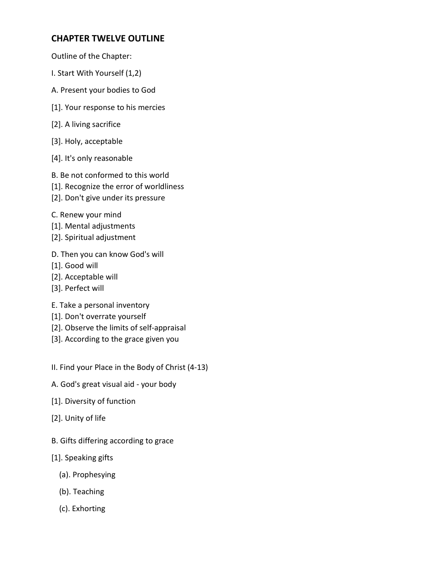# **CHAPTER TWELVE OUTLINE**

- Outline of the Chapter:
- I. Start With Yourself (1,2)
- A. Present your bodies to God
- [1]. Your response to his mercies
- [2]. A living sacrifice
- [3]. Holy, acceptable
- [4]. It's only reasonable
- B. Be not conformed to this world
- [1]. Recognize the error of worldliness
- [2]. Don't give under its pressure
- C. Renew your mind
- [1]. Mental adjustments
- [2]. Spiritual adjustment
- D. Then you can know God's will
- [1]. Good will
- [2]. Acceptable will
- [3]. Perfect will
- E. Take a personal inventory
- [1]. Don't overrate yourself
- [2]. Observe the limits of self-appraisal
- [3]. According to the grace given you
- II. Find your Place in the Body of Christ (4-13)
- A. God's great visual aid your body
- [1]. Diversity of function
- [2]. Unity of life
- B. Gifts differing according to grace
- [1]. Speaking gifts
	- (a). Prophesying
	- (b). Teaching
	- (c). Exhorting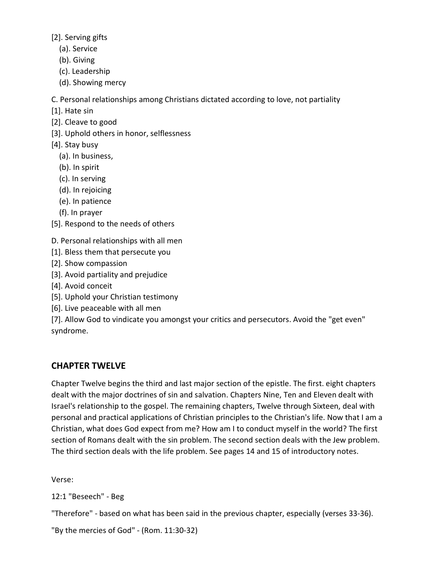[2]. Serving gifts

- (a). Service
- (b). Giving
- (c). Leadership
- (d). Showing mercy

C. Personal relationships among Christians dictated according to love, not partiality

- [1]. Hate sin
- [2]. Cleave to good
- [3]. Uphold others in honor, selflessness
- [4]. Stay busy
	- (a). In business,
	- (b). In spirit
	- (c). In serving
	- (d). In rejoicing
	- (e). In patience
	- (f). In prayer
- [5]. Respond to the needs of others

D. Personal relationships with all men

- [1]. Bless them that persecute you
- [2]. Show compassion
- [3]. Avoid partiality and prejudice
- [4]. Avoid conceit
- [5]. Uphold your Christian testimony
- [6]. Live peaceable with all men

[7]. Allow God to vindicate you amongst your critics and persecutors. Avoid the "get even" syndrome.

# **CHAPTER TWELVE**

Chapter Twelve begins the third and last major section of the epistle. The first. eight chapters dealt with the major doctrines of sin and salvation. Chapters Nine, Ten and Eleven dealt with Israel's relationship to the gospel. The remaining chapters, Twelve through Sixteen, deal with personal and practical applications of Christian principles to the Christian's life. Now that I am a Christian, what does God expect from me? How am I to conduct myself in the world? The first section of Romans dealt with the sin problem. The second section deals with the Jew problem. The third section deals with the life problem. See pages 14 and 15 of introductory notes.

Verse:

12:1 "Beseech" - Beg

"Therefore" - based on what has been said in the previous chapter, especially (verses 33-36).

"By the mercies of God" - (Rom. 11:30-32)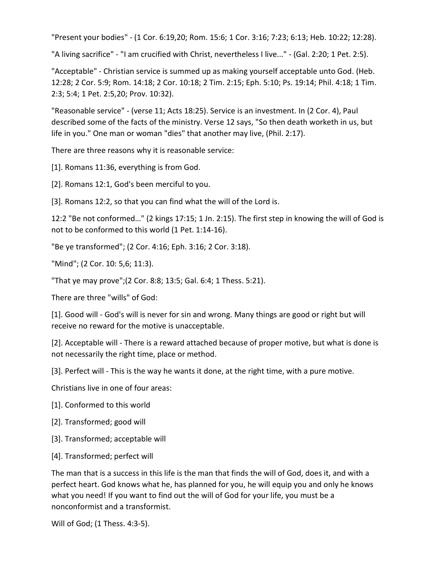"Present your bodies" - (1 Cor. 6:19,20; Rom. 15:6; 1 Cor. 3:16; 7:23; 6:13; Heb. 10:22; 12:28).

"A living sacrifice" - "I am crucified with Christ, nevertheless I live..." - (Gal. 2:20; 1 Pet. 2:5).

"Acceptable" - Christian service is summed up as making yourself acceptable unto God. (Heb. 12:28; 2 Cor. 5:9; Rom. 14:18; 2 Cor. 10:18; 2 Tim. 2:15; Eph. 5:10; Ps. 19:14; Phil. 4:18; 1 Tim. 2:3; 5:4; 1 Pet. 2:5,20; Prov. 10:32).

"Reasonable service" - (verse 11; Acts 18:25). Service is an investment. In (2 Cor. 4), Paul described some of the facts of the ministry. Verse 12 says, "So then death worketh in us, but life in you." One man or woman "dies" that another may live, (Phil. 2:17).

There are three reasons why it is reasonable service:

[1]. Romans 11:36, everything is from God.

[2]. Romans 12:1, God's been merciful to you.

[3]. Romans 12:2, so that you can find what the will of the Lord is.

12:2 "Be not conformed…" (2 kings 17:15; 1 Jn. 2:15). The first step in knowing the will of God is not to be conformed to this world (1 Pet. 1:14-16).

"Be ye transformed"; (2 Cor. 4:16; Eph. 3:16; 2 Cor. 3:18).

"Mind"; (2 Cor. 10: 5,6; 11:3).

"That ye may prove";(2 Cor. 8:8; 13:5; Gal. 6:4; 1 Thess. 5:21).

There are three "wills" of God:

[1]. Good will - God's will is never for sin and wrong. Many things are good or right but will receive no reward for the motive is unacceptable.

[2]. Acceptable will - There is a reward attached because of proper motive, but what is done is not necessarily the right time, place or method.

[3]. Perfect will - This is the way he wants it done, at the right time, with a pure motive.

Christians live in one of four areas:

- [1]. Conformed to this world
- [2]. Transformed; good will
- [3]. Transformed; acceptable will
- [4]. Transformed; perfect will

The man that is a success in this life is the man that finds the will of God, does it, and with a perfect heart. God knows what he, has planned for you, he will equip you and only he knows what you need! If you want to find out the will of God for your life, you must be a nonconformist and a transformist.

Will of God; (1 Thess. 4:3-5).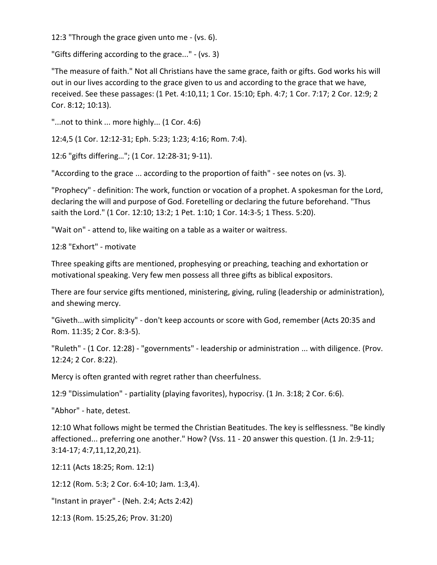12:3 "Through the grace given unto me - (vs. 6).

"Gifts differing according to the grace..." - (vs. 3)

"The measure of faith." Not all Christians have the same grace, faith or gifts. God works his will out in our lives according to the grace given to us and according to the grace that we have, received. See these passages: (1 Pet. 4:10,11; 1 Cor. 15:10; Eph. 4:7; 1 Cor. 7:17; 2 Cor. 12:9; 2 Cor. 8:12; 10:13).

"...not to think ... more highly... (1 Cor. 4:6)

12:4,5 (1 Cor. 12:12-31; Eph. 5:23; 1:23; 4:16; Rom. 7:4).

12:6 "gifts differing…"; (1 Cor. 12:28-31; 9-11).

"According to the grace ... according to the proportion of faith" - see notes on (vs. 3).

"Prophecy" - definition: The work, function or vocation of a prophet. A spokesman for the Lord, declaring the will and purpose of God. Foretelling or declaring the future beforehand. "Thus saith the Lord." (1 Cor. 12:10; 13:2; 1 Pet. 1:10; 1 Cor. 14:3-5; 1 Thess. 5:20).

"Wait on" - attend to, like waiting on a table as a waiter or waitress.

12:8 "Exhort" - motivate

Three speaking gifts are mentioned, prophesying or preaching, teaching and exhortation or motivational speaking. Very few men possess all three gifts as biblical expositors.

There are four service gifts mentioned, ministering, giving, ruling (leadership or administration), and shewing mercy.

"Giveth...with simplicity" - don't keep accounts or score with God, remember (Acts 20:35 and Rom. 11:35; 2 Cor. 8:3-5).

"Ruleth" - (1 Cor. 12:28) - "governments" - leadership or administration ... with diligence. (Prov. 12:24; 2 Cor. 8:22).

Mercy is often granted with regret rather than cheerfulness.

12:9 "Dissimulation" - partiality (playing favorites), hypocrisy. (1 Jn. 3:18; 2 Cor. 6:6).

"Abhor" - hate, detest.

12:10 What follows might be termed the Christian Beatitudes. The key is selflessness. "Be kindly affectioned... preferring one another." How? (Vss. 11 - 20 answer this question. (1 Jn. 2:9-11; 3:14-17; 4:7,11,12,20,21).

12:11 (Acts 18:25; Rom. 12:1)

12:12 (Rom. 5:3; 2 Cor. 6:4-10; Jam. 1:3,4).

"Instant in prayer" - (Neh. 2:4; Acts 2:42)

12:13 (Rom. 15:25,26; Prov. 31:20)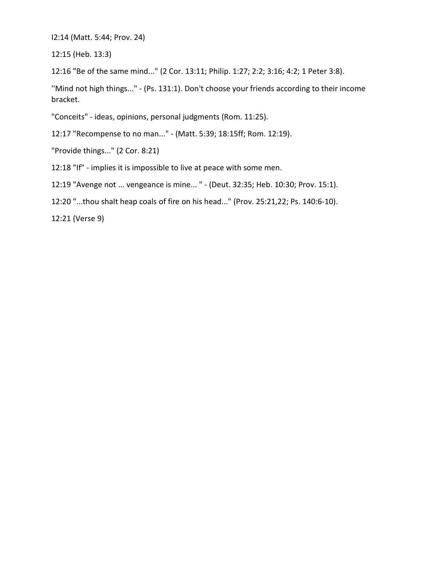I2:14 (Matt. 5:44; Prov. 24)

12:15 (Heb. 13:3)

12:16 "Be of the same mind..." (2 Cor. 13:11; Philip. 1:27; 2:2; 3:16; 4:2; 1 Peter 3:8).

''Mind not high things..." - (Ps. 131:1). Don't choose your friends according to their income bracket.

"Conceits" - ideas, opinions, personal judgments (Rom. 11:25).

12:17 "Recompense to no man..." - (Matt. 5:39; 18:15ff; Rom. 12:19).

"Provide things..." (2 Cor. 8:21)

12:18 "If" - implies it is impossible to live at peace with some men.

12:19 "Avenge not ... vengeance is mine... " - (Deut. 32:35; Heb. 10:30; Prov. 15:1).

12:20 "...thou shalt heap coals of fire on his head..." (Prov. 25:21,22; Ps. 140:6-10).

12:21 (Verse 9)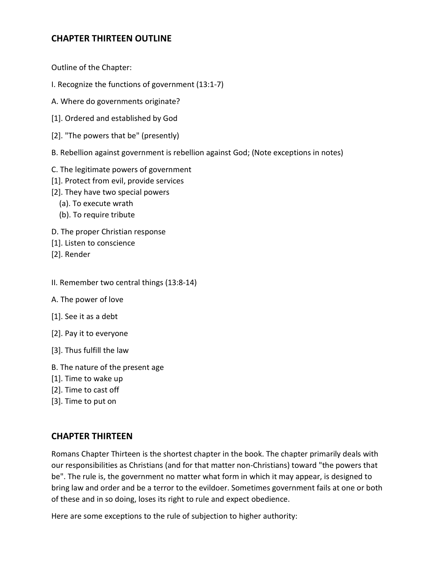# **CHAPTER THIRTEEN OUTLINE**

Outline of the Chapter:

- I. Recognize the functions of government (13:1-7)
- A. Where do governments originate?
- [1]. Ordered and established by God
- [2]. "The powers that be" (presently)
- B. Rebellion against government is rebellion against God; (Note exceptions in notes)
- C. The legitimate powers of government
- [1]. Protect from evil, provide services
- [2]. They have two special powers
	- (a). To execute wrath
	- (b). To require tribute
- D. The proper Christian response
- [1]. Listen to conscience
- [2]. Render
- II. Remember two central things (13:8-14)
- A. The power of love
- [1]. See it as a debt
- [2]. Pay it to everyone
- [3]. Thus fulfill the law
- B. The nature of the present age
- [1]. Time to wake up
- [2]. Time to cast off
- [3]. Time to put on

### **CHAPTER THIRTEEN**

Romans Chapter Thirteen is the shortest chapter in the book. The chapter primarily deals with our responsibilities as Christians (and for that matter non-Christians) toward "the powers that be". The rule is, the government no matter what form in which it may appear, is designed to bring law and order and be a terror to the evildoer. Sometimes government fails at one or both of these and in so doing, loses its right to rule and expect obedience.

Here are some exceptions to the rule of subjection to higher authority: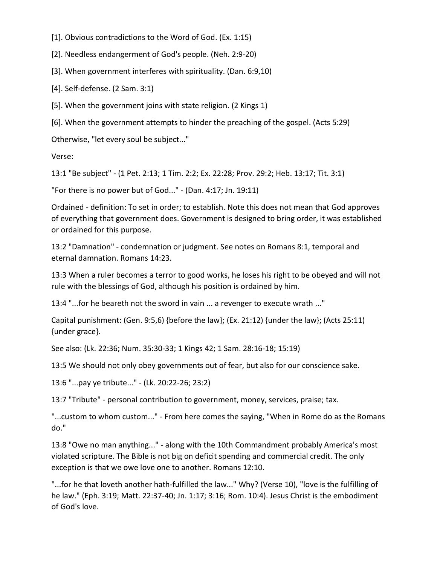- [1]. Obvious contradictions to the Word of God. (Ex. 1:15)
- [2]. Needless endangerment of God's people. (Neh. 2:9-20)
- [3]. When government interferes with spirituality. (Dan. 6:9,10)
- [4]. Self-defense. (2 Sam. 3:1)
- [5]. When the government joins with state religion. (2 Kings 1)
- [6]. When the government attempts to hinder the preaching of the gospel. (Acts 5:29)
- Otherwise, "let every soul be subject..."

Verse:

13:1 "Be subject" - (1 Pet. 2:13; 1 Tim. 2:2; Ex. 22:28; Prov. 29:2; Heb. 13:17; Tit. 3:1)

"For there is no power but of God..." - (Dan. 4:17; Jn. 19:11)

Ordained - definition: To set in order; to establish. Note this does not mean that God approves of everything that government does. Government is designed to bring order, it was established or ordained for this purpose.

13:2 "Damnation" - condemnation or judgment. See notes on Romans 8:1, temporal and eternal damnation. Romans 14:23.

13:3 When a ruler becomes a terror to good works, he loses his right to be obeyed and will not rule with the blessings of God, although his position is ordained by him.

13:4 "...for he beareth not the sword in vain ... a revenger to execute wrath ..."

Capital punishment: (Gen. 9:5,6) {before the law}; (Ex. 21:12) {under the law}; (Acts 25:11) {under grace}.

See also: (Lk. 22:36; Num. 35:30-33; 1 Kings 42; 1 Sam. 28:16-18; 15:19)

13:5 We should not only obey governments out of fear, but also for our conscience sake.

13:6 "...pay ye tribute..." - (Lk. 20:22-26; 23:2)

13:7 "Tribute" - personal contribution to government, money, services, praise; tax.

"...custom to whom custom..." - From here comes the saying, "When in Rome do as the Romans do."

13:8 "Owe no man anything..." - along with the 10th Commandment probably America's most violated scripture. The Bible is not big on deficit spending and commercial credit. The only exception is that we owe love one to another. Romans 12:10.

"...for he that loveth another hath-fulfilled the law..." Why? (Verse 10), "love is the fulfilling of he law." (Eph. 3:19; Matt. 22:37-40; Jn. 1:17; 3:16; Rom. 10:4). Jesus Christ is the embodiment of God's love.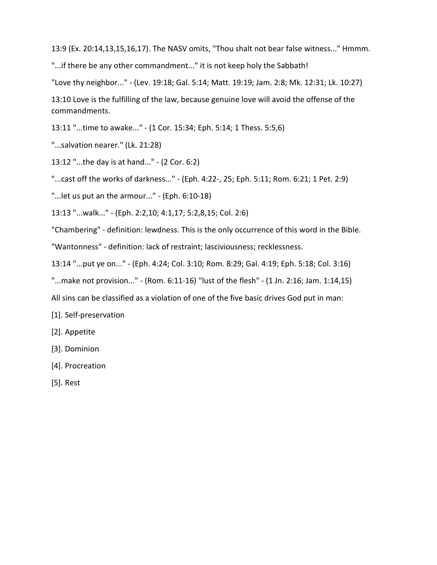13:9 (Ex. 20:14,13,15,16,17). The NASV omits, "Thou shalt not bear false witness..." Hmmm.

"...if there be any other commandment..." it is not keep holy the Sabbath!

"Love thy neighbor..." - (Lev. 19:18; Gal. 5:14; Matt. 19:19; Jam. 2:8; Mk. 12:31; Lk. 10:27)

13:10 Love is the fulfilling of the law, because genuine love will avoid the offense of the commandments.

13:11 "...time to awake..." - (1 Cor. 15:34; Eph. 5:14; 1 Thess. 5:5,6)

"...salvation nearer." (Lk. 21:28)

13:12 "...the day is at hand..." - (2 Cor. 6:2)

"...cast off the works of darkness..." - (Eph. 4:22-, 25; Eph. 5:11; Rom. 6:21; 1 Pet. 2:9)

"...let us put an the armour..." - (Eph. 6:10-18)

13:13 "...walk..." - (Eph. 2:2,10; 4:1,17; 5:2,8,15; Col. 2:6)

"Chambering" - definition: lewdness. This is the only occurrence of this word in the Bible.

"Wantonness" - definition: lack of restraint; lasciviousness; recklessness.

13:14 "...put ye on..." - (Eph. 4:24; Col. 3:10; Rom. 8:29; Gal. 4:19; Eph. 5:18; Col. 3:16)

"...make not provision..." - (Rom. 6:11-16) "lust of the flesh" - (1 Jn. 2:16; Jam. 1:14,15)

All sins can be classified as a violation of one of the five basic drives God put in man:

[1]. Self-preservation

- [2]. Appetite
- [3]. Dominion
- [4]. Procreation
- [5]. Rest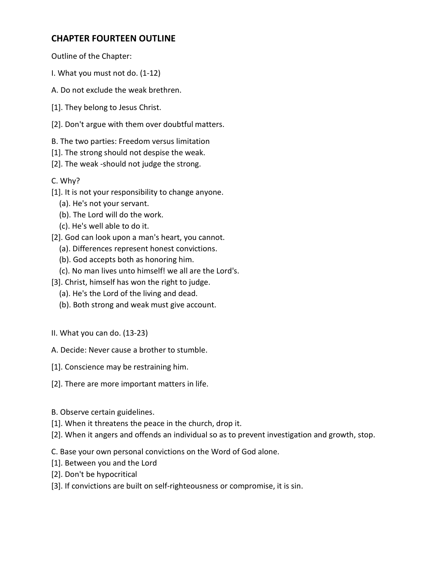# **CHAPTER FOURTEEN OUTLINE**

Outline of the Chapter:

- I. What you must not do. (1-12)
- A. Do not exclude the weak brethren.
- [1]. They belong to Jesus Christ.
- [2]. Don't argue with them over doubtful matters.
- B. The two parties: Freedom versus limitation
- [1]. The strong should not despise the weak.
- [2]. The weak -should not judge the strong.

C. Why?

- [1]. It is not your responsibility to change anyone.
	- (a). He's not your servant.
	- (b). The Lord will do the work.
	- (c). He's well able to do it.
- [2]. God can look upon a man's heart, you cannot.
	- (a). Differences represent honest convictions.
	- (b). God accepts both as honoring him.
	- (c). No man lives unto himself! we all are the Lord's.
- [3]. Christ, himself has won the right to judge.
	- (a). He's the Lord of the living and dead.
	- (b). Both strong and weak must give account.
- II. What you can do. (13-23)
- A. Decide: Never cause a brother to stumble.
- [1]. Conscience may be restraining him.
- [2]. There are more important matters in life.
- B. Observe certain guidelines.
- [1]. When it threatens the peace in the church, drop it.
- [2]. When it angers and offends an individual so as to prevent investigation and growth, stop.

C. Base your own personal convictions on the Word of God alone.

- [1]. Between you and the Lord
- [2]. Don't be hypocritical
- [3]. If convictions are built on self-righteousness or compromise, it is sin.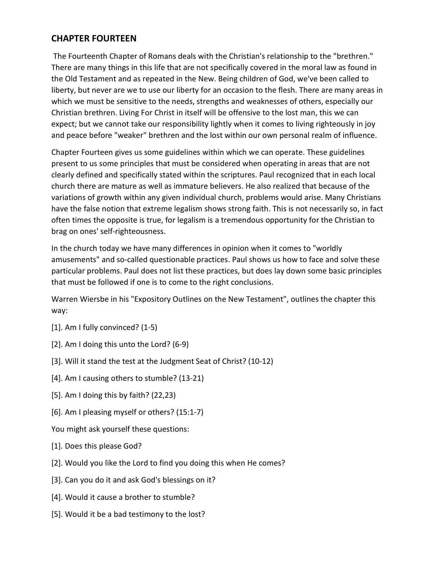# **CHAPTER FOURTEEN**

The Fourteenth Chapter of Romans deals with the Christian's relationship to the "brethren." There are many things in this life that are not specifically covered in the moral law as found in the Old Testament and as repeated in the New. Being children of God, we've been called to liberty, but never are we to use our liberty for an occasion to the flesh. There are many areas in which we must be sensitive to the needs, strengths and weaknesses of others, especially our Christian brethren. Living For Christ in itself will be offensive to the lost man, this we can expect; but we cannot take our responsibility lightly when it comes to living righteously in joy and peace before "weaker" brethren and the lost within our own personal realm of influence.

Chapter Fourteen gives us some guidelines within which we can operate. These guidelines present to us some principles that must be considered when operating in areas that are not clearly defined and specifically stated within the scriptures. Paul recognized that in each local church there are mature as well as immature believers. He also realized that because of the variations of growth within any given individual church, problems would arise. Many Christians have the false notion that extreme legalism shows strong faith. This is not necessarily so, in fact often times the opposite is true, for legalism is a tremendous opportunity for the Christian to brag on ones' self-righteousness.

In the church today we have many differences in opinion when it comes to "worldly amusements" and so-called questionable practices. Paul shows us how to face and solve these particular problems. Paul does not list these practices, but does lay down some basic principles that must be followed if one is to come to the right conclusions.

Warren Wiersbe in his "Expository Outlines on the New Testament", outlines the chapter this way:

- [1]. Am I fully convinced? (1-5)
- [2]. Am I doing this unto the Lord? (6-9)
- [3]. Will it stand the test at the Judgment Seat of Christ? (10-12)
- [4]. Am I causing others to stumble? (13-21)
- [5]. Am I doing this by faith? (22,23)
- [6]. Am I pleasing myself or others? (15:1-7)
- You might ask yourself these questions:
- [1]. Does this please God?
- [2]. Would you like the Lord to find you doing this when He comes?
- [3]. Can you do it and ask God's blessings on it?
- [4]. Would it cause a brother to stumble?
- [5]. Would it be a bad testimony to the lost?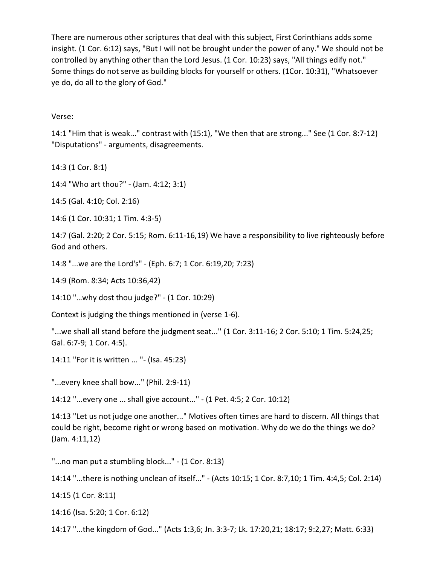There are numerous other scriptures that deal with this subject, First Corinthians adds some insight. (1 Cor. 6:12) says, "But I will not be brought under the power of any." We should not be controlled by anything other than the Lord Jesus. (1 Cor. 10:23) says, "All things edify not." Some things do not serve as building blocks for yourself or others. (1Cor. 10:31), "Whatsoever ye do, do all to the glory of God."

#### Verse:

14:1 "Him that is weak..." contrast with (15:1), "We then that are strong..." See (1 Cor. 8:7-12) "Disputations" - arguments, disagreements.

14:3 (1 Cor. 8:1)

14:4 "Who art thou?" - (Jam. 4:12; 3:1)

14:5 (Gal. 4:10; Col. 2:16)

14:6 (1 Cor. 10:31; 1 Tim. 4:3-5)

14:7 (Gal. 2:20; 2 Cor. 5:15; Rom. 6:11-16,19) We have a responsibility to live righteously before God and others.

14:8 "...we are the Lord's" - (Eph. 6:7; 1 Cor. 6:19,20; 7:23)

14:9 (Rom. 8:34; Acts 10:36,42)

14:10 "…why dost thou judge?" - (1 Cor. 10:29)

Context is judging the things mentioned in (verse 1-6).

"...we shall all stand before the judgment seat...'' (1 Cor. 3:11-16; 2 Cor. 5:10; 1 Tim. 5:24,25; Gal. 6:7-9; 1 Cor. 4:5).

14:11 "For it is written ... "- (Isa. 45:23)

"...every knee shall bow..." (Phil. 2:9-11)

14:12 "...every one ... shall give account..." - (1 Pet. 4:5; 2 Cor. 10:12)

14:13 "Let us not judge one another..." Motives often times are hard to discern. All things that could be right, become right or wrong based on motivation. Why do we do the things we do? (Jam. 4:11,12)

''...no man put a stumbling block..." - (1 Cor. 8:13)

14:14 "...there is nothing unclean of itself..." - (Acts 10:15; 1 Cor. 8:7,10; 1 Tim. 4:4,5; Col. 2:14)

14:15 (1 Cor. 8:11)

14:16 (Isa. 5:20; 1 Cor. 6:12)

14:17 "...the kingdom of God..." (Acts 1:3,6; Jn. 3:3-7; Lk. 17:20,21; 18:17; 9:2,27; Matt. 6:33)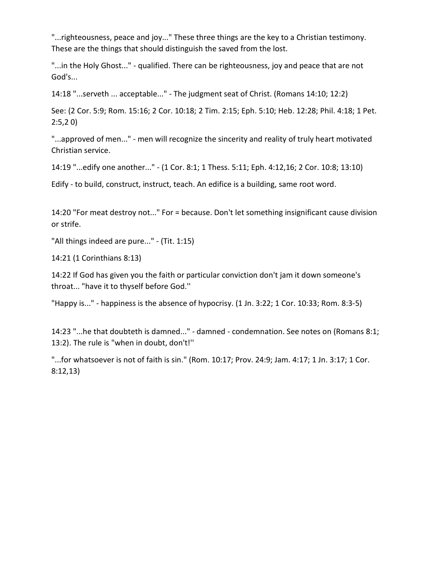"...righteousness, peace and joy..." These three things are the key to a Christian testimony. These are the things that should distinguish the saved from the lost.

"...in the Holy Ghost..." - qualified. There can be righteousness, joy and peace that are not God's...

14:18 "...serveth ... acceptable..." - The judgment seat of Christ. (Romans 14:10; 12:2)

See: (2 Cor. 5:9; Rom. 15:16; 2 Cor. 10:18; 2 Tim. 2:15; Eph. 5:10; Heb. 12:28; Phil. 4:18; 1 Pet. 2:5,2 0)

"...approved of men..." - men will recognize the sincerity and reality of truly heart motivated Christian service.

14:19 "...edify one another..." - (1 Cor. 8:1; 1 Thess. 5:11; Eph. 4:12,16; 2 Cor. 10:8; 13:10)

Edify - to build, construct, instruct, teach. An edifice is a building, same root word.

14:20 "For meat destroy not..." For = because. Don't let something insignificant cause division or strife.

"All things indeed are pure..." - (Tit. 1:15)

14:21 (1 Corinthians 8:13)

14:22 If God has given you the faith or particular conviction don't jam it down someone's throat... "have it to thyself before God.''

"Happy is..." - happiness is the absence of hypocrisy. (1 Jn. 3:22; 1 Cor. 10:33; Rom. 8:3-5)

14:23 "...he that doubteth is damned..." - damned - condemnation. See notes on (Romans 8:1; 13:2). The rule is "when in doubt, don't!''

"...for whatsoever is not of faith is sin." (Rom. 10:17; Prov. 24:9; Jam. 4:17; 1 Jn. 3:17; 1 Cor. 8:12,13)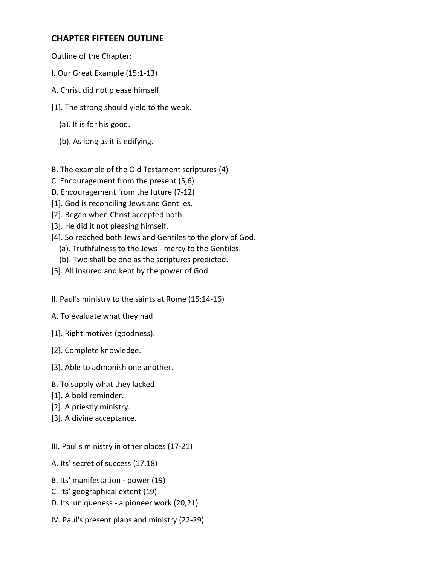# **CHAPTER FIFTEEN OUTLINE**

Outline of the Chapter:

- I. Our Great Example (15:1-13)
- A. Christ did not please himself
- [1]. The strong should yield to the weak.
	- (a). It is for his good.
	- (b). As long as it is edifying.
- B. The example of the Old Testament scriptures (4)
- C. Encouragement from the present (5,6)
- D. Encouragement from the future (7-12)
- [1]. God is reconciling Jews and Gentiles.
- [2]. Began when Christ accepted both.
- [3]. He did it not pleasing himself.
- [4]. So reached both Jews and Gentiles to the glory of God.
	- (a). Truthfulness to the Jews mercy to the Gentiles.
	- (b). Two shall be one as the scriptures predicted.
- [5]. All insured and kept by the power of God.
- II. Paul's ministry to the saints at Rome (15:14-16)
- A. To evaluate what they had
- [1]. Right motives (goodness).
- [2]. Complete knowledge.
- [3]. Able to admonish one another.
- B. To supply what they lacked
- [1]. A bold reminder.
- [2]. A priestly ministry.
- [3]. A divine acceptance.
- III. Paul's ministry in other places (17-21)
- A. Its' secret of success (17,18)
- B. Its' manifestation power (19)
- C. Its' geographical extent (19)
- D. Its' uniqueness a pioneer work (20,21)
- IV. Paul's present plans and ministry (22-29)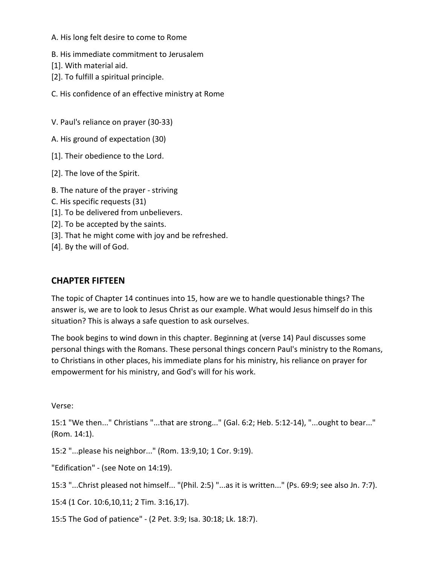A. His long felt desire to come to Rome

B. His immediate commitment to Jerusalem

[1]. With material aid.

[2]. To fulfill a spiritual principle.

C. His confidence of an effective ministry at Rome

V. Paul's reliance on prayer (30-33)

A. His ground of expectation (30)

[1]. Their obedience to the Lord.

[2]. The love of the Spirit.

B. The nature of the prayer - striving

C. His specific requests (31)

[1]. To be delivered from unbelievers.

[2]. To be accepted by the saints.

[3]. That he might come with joy and be refreshed.

[4]. By the will of God.

### **CHAPTER FIFTEEN**

The topic of Chapter 14 continues into 15, how are we to handle questionable things? The answer is, we are to look to Jesus Christ as our example. What would Jesus himself do in this situation? This is always a safe question to ask ourselves.

The book begins to wind down in this chapter. Beginning at (verse 14) Paul discusses some personal things with the Romans. These personal things concern Paul's ministry to the Romans, to Christians in other places, his immediate plans for his ministry, his reliance on prayer for empowerment for his ministry, and God's will for his work.

Verse:

15:1 "We then..." Christians "...that are strong..." (Gal. 6:2; Heb. 5:12-14), "...ought to bear..." (Rom. 14:1).

15:2 "...please his neighbor..." (Rom. 13:9,10; 1 Cor. 9:19).

"Edification" - (see Note on 14:19).

15:3 "...Christ pleased not himself... "(Phil. 2:5) "...as it is written..." (Ps. 69:9; see also Jn. 7:7).

15:4 (1 Cor. 10:6,10,11; 2 Tim. 3:16,17).

15:5 The God of patience" - (2 Pet. 3:9; Isa. 30:18; Lk. 18:7).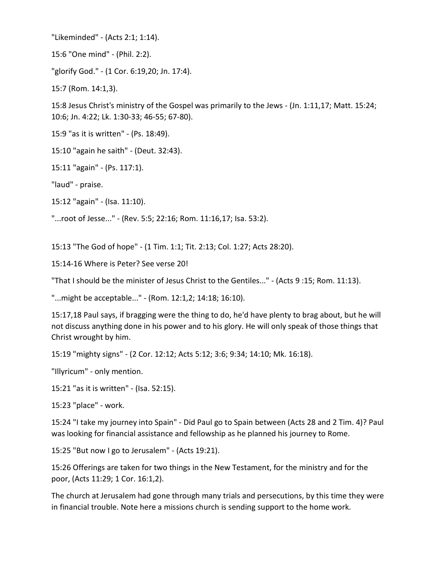"Likeminded" - (Acts 2:1; 1:14).

15:6 "One mind" - (Phil. 2:2).

"glorify God." - (1 Cor. 6:19,20; Jn. 17:4).

15:7 (Rom. 14:1,3).

15:8 Jesus Christ's ministry of the Gospel was primarily to the Jews - (Jn. 1:11,17; Matt. 15:24; 10:6; Jn. 4:22; Lk. 1:30-33; 46-55; 67-80).

15:9 "as it is written" - (Ps. 18:49).

15:10 "again he saith" - (Deut. 32:43).

15:11 "again" - (Ps. 117:1).

"laud" - praise.

15:12 "again" - (Isa. 11:10).

"...root of Jesse..." - (Rev. 5:5; 22:16; Rom. 11:16,17; Isa. 53:2).

15:13 "The God of hope" - (1 Tim. 1:1; Tit. 2:13; Col. 1:27; Acts 28:20).

15:14-16 Where is Peter? See verse 20!

"That I should be the minister of Jesus Christ to the Gentiles..." - (Acts 9 :15; Rom. 11:13).

"...might be acceptable..." - (Rom. 12:1,2; 14:18; 16:10).

15:17,18 Paul says, if bragging were the thing to do, he'd have plenty to brag about, but he will not discuss anything done in his power and to his glory. He will only speak of those things that Christ wrought by him.

15:19 "mighty signs" - (2 Cor. 12:12; Acts 5:12; 3:6; 9:34; 14:10; Mk. 16:18).

"Illyricum" - only mention.

15:21 "as it is written" - (Isa. 52:15).

15:23 "place" - work.

15:24 "I take my journey into Spain" - Did Paul go to Spain between (Acts 28 and 2 Tim. 4)? Paul was looking for financial assistance and fellowship as he planned his journey to Rome.

15:25 "But now I go to Jerusalem" - (Acts 19:21).

15:26 Offerings are taken for two things in the New Testament, for the ministry and for the poor, (Acts 11:29; 1 Cor. 16:1,2).

The church at Jerusalem had gone through many trials and persecutions, by this time they were in financial trouble. Note here a missions church is sending support to the home work.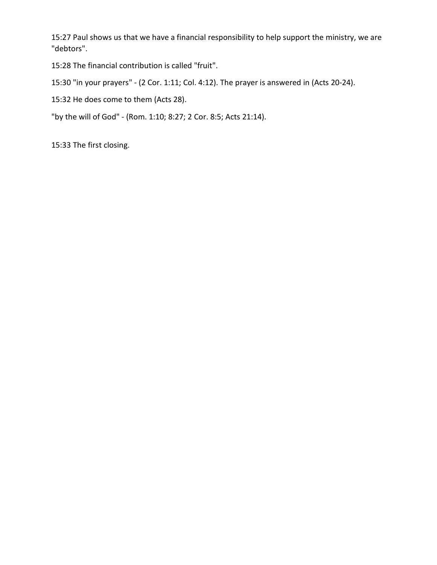15:27 Paul shows us that we have a financial responsibility to help support the ministry, we are "debtors".

15:28 The financial contribution is called "fruit".

15:30 "in your prayers" - (2 Cor. 1:11; Col. 4:12). The prayer is answered in (Acts 20-24).

15:32 He does come to them (Acts 28).

"by the will of God" - (Rom. 1:10; 8:27; 2 Cor. 8:5; Acts 21:14).

15:33 The first closing.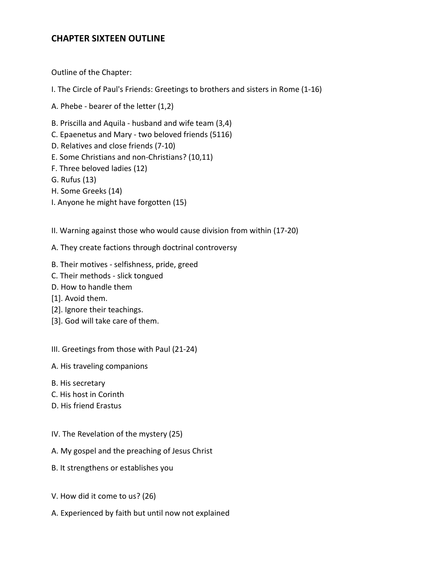## **CHAPTER SIXTEEN OUTLINE**

Outline of the Chapter:

- I. The Circle of Paul's Friends: Greetings to brothers and sisters in Rome (1-16)
- A. Phebe bearer of the letter (1,2)
- B. Priscilla and Aquila husband and wife team (3,4)
- C. Epaenetus and Mary two beloved friends (5116)
- D. Relatives and close friends (7-10)
- E. Some Christians and non-Christians? (10,11)
- F. Three beloved ladies (12)
- G. Rufus (13)
- H. Some Greeks (14)
- I. Anyone he might have forgotten (15)
- II. Warning against those who would cause division from within (17-20)
- A. They create factions through doctrinal controversy
- B. Their motives selfishness, pride, greed
- C. Their methods slick tongued
- D. How to handle them
- [1]. Avoid them.
- [2]. Ignore their teachings.
- [3]. God will take care of them.
- III. Greetings from those with Paul (21-24)
- A. His traveling companions
- B. His secretary
- C. His host in Corinth
- D. His friend Erastus
- IV. The Revelation of the mystery (25)
- A. My gospel and the preaching of Jesus Christ
- B. It strengthens or establishes you
- V. How did it come to us? (26)
- A. Experienced by faith but until now not explained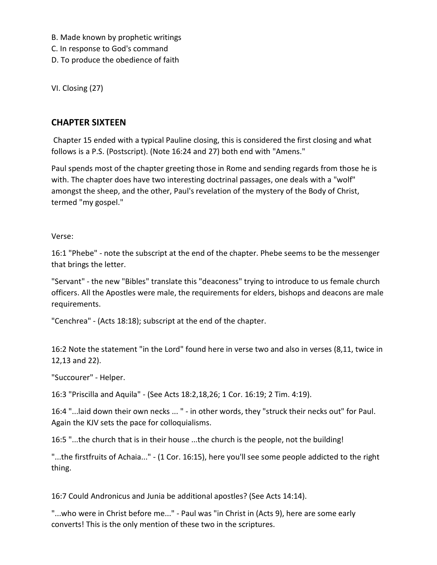B. Made known by prophetic writings

C. In response to God's command

D. To produce the obedience of faith

VI. Closing (27)

## **CHAPTER SIXTEEN**

Chapter 15 ended with a typical Pauline closing, this is considered the first closing and what follows is a P.S. (Postscript). (Note 16:24 and 27) both end with "Amens."

Paul spends most of the chapter greeting those in Rome and sending regards from those he is with. The chapter does have two interesting doctrinal passages, one deals with a "wolf" amongst the sheep, and the other, Paul's revelation of the mystery of the Body of Christ, termed "my gospel."

Verse:

16:1 "Phebe" - note the subscript at the end of the chapter. Phebe seems to be the messenger that brings the letter.

"Servant" - the new "Bibles" translate this "deaconess" trying to introduce to us female church officers. All the Apostles were male, the requirements for elders, bishops and deacons are male requirements.

"Cenchrea" - (Acts 18:18); subscript at the end of the chapter.

16:2 Note the statement "in the Lord" found here in verse two and also in verses (8,11, twice in 12,13 and 22).

"Succourer" - Helper.

16:3 "Priscilla and Aquila" - (See Acts 18:2,18,26; 1 Cor. 16:19; 2 Tim. 4:19).

16:4 "...laid down their own necks ... " - in other words, they "struck their necks out" for Paul. Again the KJV sets the pace for colloquialisms.

16:5 "...the church that is in their house ...the church is the people, not the building!

"...the firstfruits of Achaia..." - (1 Cor. 16:15), here you'll see some people addicted to the right thing.

16:7 Could Andronicus and Junia be additional apostles? (See Acts 14:14).

"...who were in Christ before me..." - Paul was "in Christ in (Acts 9), here are some early converts! This is the only mention of these two in the scriptures.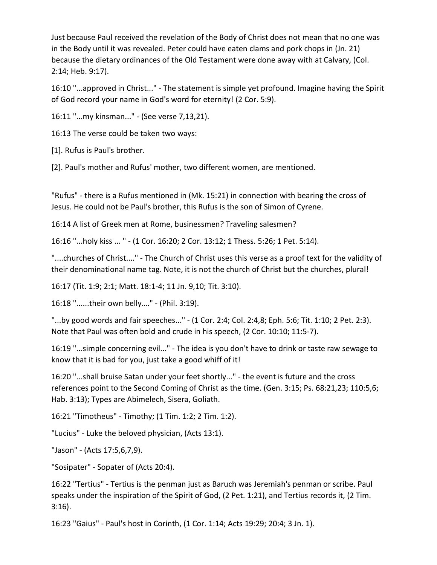Just because Paul received the revelation of the Body of Christ does not mean that no one was in the Body until it was revealed. Peter could have eaten clams and pork chops in (Jn. 21) because the dietary ordinances of the Old Testament were done away with at Calvary, (Col. 2:14; Heb. 9:17).

16:10 "...approved in Christ..." - The statement is simple yet profound. Imagine having the Spirit of God record your name in God's word for eternity! (2 Cor. 5:9).

16:11 "...my kinsman..." - (See verse 7,13,21).

16:13 The verse could be taken two ways:

[1]. Rufus is Paul's brother.

[2]. Paul's mother and Rufus' mother, two different women, are mentioned.

"Rufus" - there is a Rufus mentioned in (Mk. 15:21) in connection with bearing the cross of Jesus. He could not be Paul's brother, this Rufus is the son of Simon of Cyrene.

16:14 A list of Greek men at Rome, businessmen? Traveling salesmen?

16:16 "...holy kiss ... " - (1 Cor. 16:20; 2 Cor. 13:12; 1 Thess. 5:26; 1 Pet. 5:14).

"....churches of Christ...." - The Church of Christ uses this verse as a proof text for the validity of their denominational name tag. Note, it is not the church of Christ but the churches, plural!

16:17 (Tit. 1:9; 2:1; Matt. 18:1-4; 11 Jn. 9,10; Tit. 3:10).

16:18 "......their own belly…." - (Phil. 3:19).

"...by good words and fair speeches..." - (1 Cor. 2:4; Col. 2:4,8; Eph. 5:6; Tit. 1:10; 2 Pet. 2:3). Note that Paul was often bold and crude in his speech, (2 Cor. 10:10; 11:5-7).

16:19 "...simple concerning evil..." - The idea is you don't have to drink or taste raw sewage to know that it is bad for you, just take a good whiff of it!

16:20 "...shall bruise Satan under your feet shortly..." - the event is future and the cross references point to the Second Coming of Christ as the time. (Gen. 3:15; Ps. 68:21,23; 110:5,6; Hab. 3:13); Types are Abimelech, Sisera, Goliath.

16:21 "Timotheus" - Timothy; (1 Tim. 1:2; 2 Tim. 1:2).

"Lucius" - Luke the beloved physician, (Acts 13:1).

"Jason" - (Acts 17:5,6,7,9).

"Sosipater" - Sopater of (Acts 20:4).

16:22 "Tertius" - Tertius is the penman just as Baruch was Jeremiah's penman or scribe. Paul speaks under the inspiration of the Spirit of God, (2 Pet. 1:21), and Tertius records it, (2 Tim. 3:16).

16:23 "Gaius" - Paul's host in Corinth, (1 Cor. 1:14; Acts 19:29; 20:4; 3 Jn. 1).